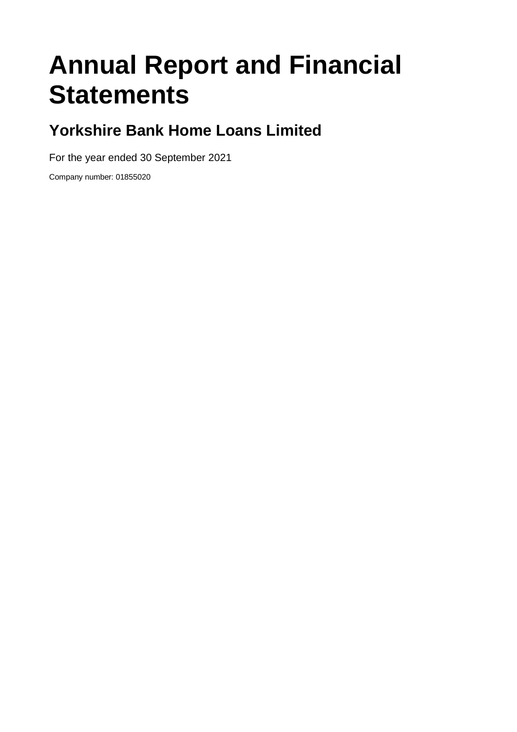# **Annual Report and Financial Statements**

# **Yorkshire Bank Home Loans Limited**

For the year ended 30 September 2021

Company number: 01855020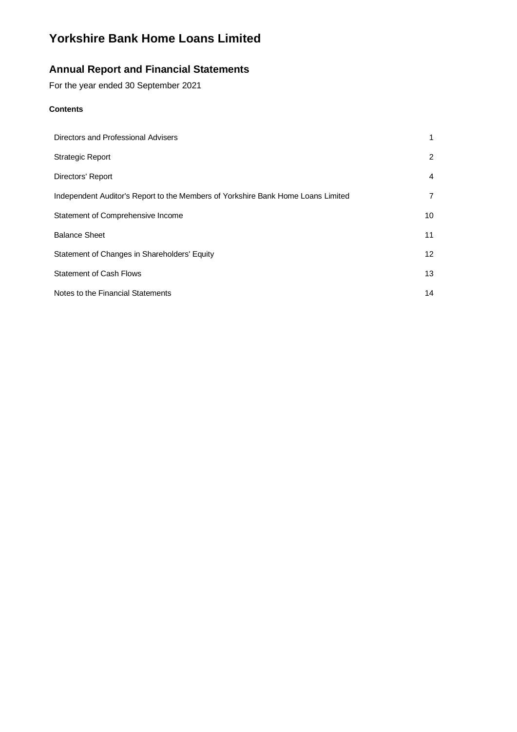# **Annual Report and Financial Statements**

For the year ended 30 September 2021

# **Contents**

| Directors and Professional Advisers                                              | $\mathbf 1$       |
|----------------------------------------------------------------------------------|-------------------|
| <b>Strategic Report</b>                                                          | $\overline{2}$    |
| Directors' Report                                                                | 4                 |
| Independent Auditor's Report to the Members of Yorkshire Bank Home Loans Limited | 7                 |
| Statement of Comprehensive Income                                                | 10                |
| <b>Balance Sheet</b>                                                             | 11                |
| Statement of Changes in Shareholders' Equity                                     | $12 \overline{ }$ |
| <b>Statement of Cash Flows</b>                                                   | 13                |
| Notes to the Financial Statements                                                | 14                |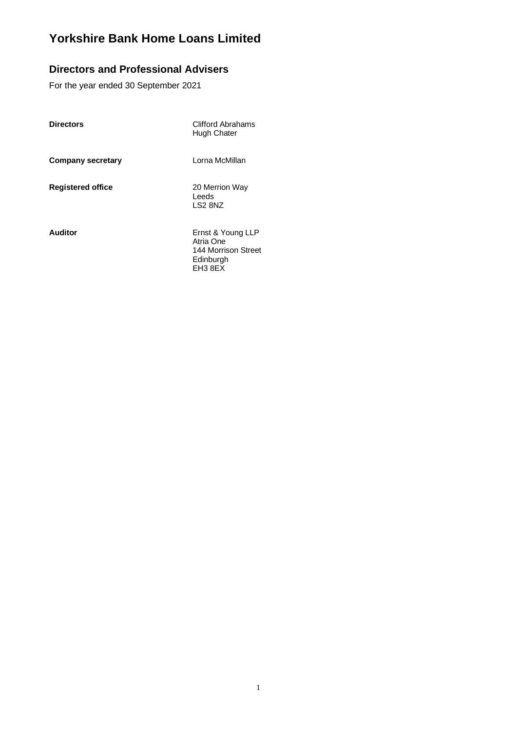# **Directors and Professional Advisers**

For the year ended 30 September 2021

| <b>Directors</b>         | Clifford Abrahams<br>Hugh Chater                                              |
|--------------------------|-------------------------------------------------------------------------------|
| <b>Company secretary</b> | Lorna McMillan                                                                |
| <b>Registered office</b> | 20 Merrion Way<br>Leeds<br>LS2 8NZ                                            |
| <b>Auditor</b>           | Ernst & Young LLP<br>Atria One<br>144 Morrison Street<br>Edinburgh<br>EH3 8EX |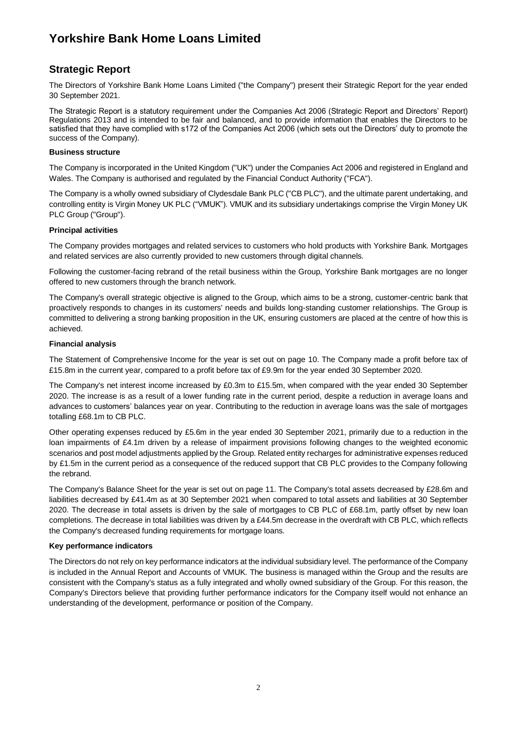# **Strategic Report**

The Directors of Yorkshire Bank Home Loans Limited ("the Company") present their Strategic Report for the year ended 30 September 2021.

The Strategic Report is a statutory requirement under the Companies Act 2006 (Strategic Report and Directors' Report) Regulations 2013 and is intended to be fair and balanced, and to provide information that enables the Directors to be satisfied that they have complied with s172 of the Companies Act 2006 (which sets out the Directors' duty to promote the success of the Company).

### **Business structure**

The Company is incorporated in the United Kingdom ("UK") under the Companies Act 2006 and registered in England and Wales. The Company is authorised and regulated by the Financial Conduct Authority ("FCA").

The Company is a wholly owned subsidiary of Clydesdale Bank PLC ("CB PLC"), and the ultimate parent undertaking, and controlling entity is Virgin Money UK PLC ("VMUK"). VMUK and its subsidiary undertakings comprise the Virgin Money UK PLC Group ("Group").

### **Principal activities**

The Company provides mortgages and related services to customers who hold products with Yorkshire Bank. Mortgages and related services are also currently provided to new customers through digital channels.

Following the customer-facing rebrand of the retail business within the Group, Yorkshire Bank mortgages are no longer offered to new customers through the branch network.

The Company's overall strategic objective is aligned to the Group, which aims to be a strong, customer-centric bank that proactively responds to changes in its customers' needs and builds long-standing customer relationships. The Group is committed to delivering a strong banking proposition in the UK, ensuring customers are placed at the centre of how this is achieved.

# **Financial analysis**

The Statement of Comprehensive Income for the year is set out on page 10. The Company made a profit before tax of £15.8m in the current year, compared to a profit before tax of £9.9m for the year ended 30 September 2020.

The Company's net interest income increased by £0.3m to £15.5m, when compared with the year ended 30 September 2020. The increase is as a result of a lower funding rate in the current period, despite a reduction in average loans and advances to customers' balances year on year. Contributing to the reduction in average loans was the sale of mortgages totalling £68.1m to CB PLC.

Other operating expenses reduced by £5.6m in the year ended 30 September 2021, primarily due to a reduction in the loan impairments of £4.1m driven by a release of impairment provisions following changes to the weighted economic scenarios and post model adjustments applied by the Group. Related entity recharges for administrative expenses reduced by £1.5m in the current period as a consequence of the reduced support that CB PLC provides to the Company following the rebrand.

The Company's Balance Sheet for the year is set out on page 11. The Company's total assets decreased by £28.6m and liabilities decreased by £41.4m as at 30 September 2021 when compared to total assets and liabilities at 30 September 2020. The decrease in total assets is driven by the sale of mortgages to CB PLC of £68.1m, partly offset by new loan completions. The decrease in total liabilities was driven by a £44.5m decrease in the overdraft with CB PLC, which reflects the Company's decreased funding requirements for mortgage loans.

# **Key performance indicators**

The Directors do not rely on key performance indicators at the individual subsidiary level. The performance of the Company is included in the Annual Report and Accounts of VMUK. The business is managed within the Group and the results are consistent with the Company's status as a fully integrated and wholly owned subsidiary of the Group. For this reason, the Company's Directors believe that providing further performance indicators for the Company itself would not enhance an understanding of the development, performance or position of the Company.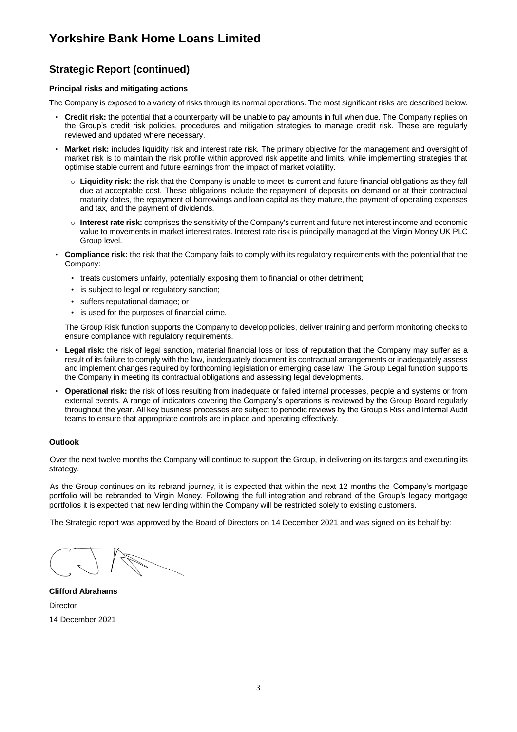# **Strategic Report (continued)**

### **Principal risks and mitigating actions**

The Company is exposed to a variety of risks through its normal operations. The most significant risks are described below.

- **Credit risk:** the potential that a counterparty will be unable to pay amounts in full when due. The Company replies on the Group's credit risk policies, procedures and mitigation strategies to manage credit risk. These are regularly reviewed and updated where necessary.
- **Market risk:** includes liquidity risk and interest rate risk. The primary objective for the management and oversight of market risk is to maintain the risk profile within approved risk appetite and limits, while implementing strategies that optimise stable current and future earnings from the impact of market volatility.
	- o **Liquidity risk:** the risk that the Company is unable to meet its current and future financial obligations as they fall due at acceptable cost. These obligations include the repayment of deposits on demand or at their contractual maturity dates, the repayment of borrowings and loan capital as they mature, the payment of operating expenses and tax, and the payment of dividends.
	- o **Interest rate risk:** comprises the sensitivity of the Company's current and future net interest income and economic value to movements in market interest rates. Interest rate risk is principally managed at the Virgin Money UK PLC Group level.
- **Compliance risk:** the risk that the Company fails to comply with its regulatory requirements with the potential that the Company:
	- treats customers unfairly, potentially exposing them to financial or other detriment;
	- is subject to legal or regulatory sanction;
	- suffers reputational damage; or
	- is used for the purposes of financial crime.

The Group Risk function supports the Company to develop policies, deliver training and perform monitoring checks to ensure compliance with regulatory requirements.

- **Legal risk:** the risk of legal sanction, material financial loss or loss of reputation that the Company may suffer as a result of its failure to comply with the law, inadequately document its contractual arrangements or inadequately assess and implement changes required by forthcoming legislation or emerging case law. The Group Legal function supports the Company in meeting its contractual obligations and assessing legal developments.
- **Operational risk:** the risk of loss resulting from inadequate or failed internal processes, people and systems or from external events. A range of indicators covering the Company's operations is reviewed by the Group Board regularly throughout the year. All key business processes are subject to periodic reviews by the Group's Risk and Internal Audit teams to ensure that appropriate controls are in place and operating effectively.

#### **Outlook**

Over the next twelve months the Company will continue to support the Group, in delivering on its targets and executing its strategy.

As the Group continues on its rebrand journey, it is expected that within the next 12 months the Company's mortgage portfolio will be rebranded to Virgin Money. Following the full integration and rebrand of the Group's legacy mortgage portfolios it is expected that new lending within the Company will be restricted solely to existing customers.

The Strategic report was approved by the Board of Directors on 14 December 2021 and was signed on its behalf by:

**Clifford Abrahams Director** 14 December 2021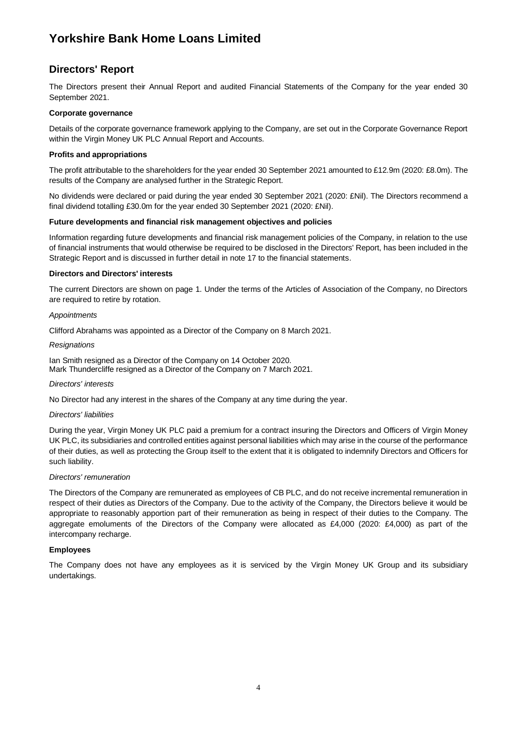# **Directors' Report**

The Directors present their Annual Report and audited Financial Statements of the Company for the year ended 30 September 2021.

# **Corporate governance**

Details of the corporate governance framework applying to the Company, are set out in the Corporate Governance Report within the Virgin Money UK PLC Annual Report and Accounts.

### **Profits and appropriations**

The profit attributable to the shareholders for the year ended 30 September 2021 amounted to £12.9m (2020: £8.0m). The results of the Company are analysed further in the Strategic Report.

No dividends were declared or paid during the year ended 30 September 2021 (2020: £Nil). The Directors recommend a final dividend totalling £30.0m for the year ended 30 September 2021 (2020: £Nil).

### **Future developments and financial risk management objectives and policies**

Information regarding future developments and financial risk management policies of the Company, in relation to the use of financial instruments that would otherwise be required to be disclosed in the Directors' Report, has been included in the Strategic Report and is discussed in further detail in note 17 to the financial statements.

### **Directors and Directors' interests**

The current Directors are shown on page 1. Under the terms of the Articles of Association of the Company, no Directors are required to retire by rotation.

### *Appointments*

Clifford Abrahams was appointed as a Director of the Company on 8 March 2021.

### *Resignations*

Ian Smith resigned as a Director of the Company on 14 October 2020. Mark Thundercliffe resigned as a Director of the Company on 7 March 2021.

#### *Directors' interests*

No Director had any interest in the shares of the Company at any time during the year.

### *Directors' liabilities*

During the year, Virgin Money UK PLC paid a premium for a contract insuring the Directors and Officers of Virgin Money UK PLC, its subsidiaries and controlled entities against personal liabilities which may arise in the course of the performance of their duties, as well as protecting the Group itself to the extent that it is obligated to indemnify Directors and Officers for such liability.

#### *Directors' remuneration*

The Directors of the Company are remunerated as employees of CB PLC, and do not receive incremental remuneration in respect of their duties as Directors of the Company. Due to the activity of the Company, the Directors believe it would be appropriate to reasonably apportion part of their remuneration as being in respect of their duties to the Company. The aggregate emoluments of the Directors of the Company were allocated as £4,000 (2020: £4,000) as part of the intercompany recharge.

#### **Employees**

The Company does not have any employees as it is serviced by the Virgin Money UK Group and its subsidiary undertakings.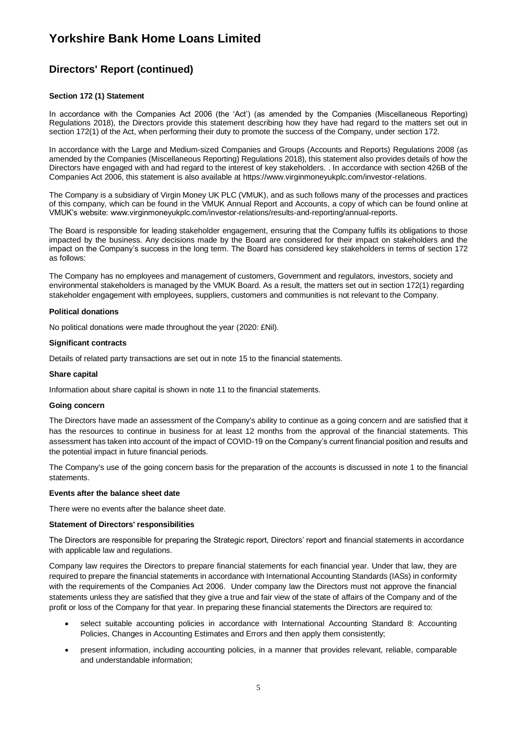# **Directors' Report (continued)**

# **Section 172 (1) Statement**

In accordance with the Companies Act 2006 (the 'Act') (as amended by the Companies (Miscellaneous Reporting) Regulations 2018), the Directors provide this statement describing how they have had regard to the matters set out in section 172(1) of the Act, when performing their duty to promote the success of the Company, under section 172.

In accordance with the Large and Medium-sized Companies and Groups (Accounts and Reports) Regulations 2008 (as amended by the Companies (Miscellaneous Reporting) Regulations 2018), this statement also provides details of how the Directors have engaged with and had regard to the interest of key stakeholders. . In accordance with section 426B of the Companies Act 2006, this statement is also available at [https://www.virginmoneyukplc.com/investor-relations.](https://clicktime.symantec.com/3P5CjwQQEAK5xVY9BmFYq686H2?u=https%3A%2F%2Fwww.virginmoneyukplc.com%2Finvestor-relations%2F)

The Company is a subsidiary of Virgin Money UK PLC (VMUK), and as such follows many of the processes and practices of this company, which can be found in the VMUK Annual Report and Accounts, a copy of which can be found online at VMUK's website: www.virginmoneyukplc.com/investor-relations/results-and-reporting/annual-reports.

The Board is responsible for leading stakeholder engagement, ensuring that the Company fulfils its obligations to those impacted by the business. Any decisions made by the Board are considered for their impact on stakeholders and the impact on the Company's success in the long term. The Board has considered key stakeholders in terms of section 172 as follows:

The Company has no employees and management of customers, Government and regulators, investors, society and environmental stakeholders is managed by the VMUK Board. As a result, the matters set out in section 172(1) regarding stakeholder engagement with employees, suppliers, customers and communities is not relevant to the Company.

# **Political donations**

No political donations were made throughout the year (2020: £Nil).

### **Significant contracts**

Details of related party transactions are set out in note 15 to the financial statements.

#### **Share capital**

Information about share capital is shown in note 11 to the financial statements.

#### **Going concern**

The Directors have made an assessment of the Company's ability to continue as a going concern and are satisfied that it has the resources to continue in business for at least 12 months from the approval of the financial statements. This assessment has taken into account of the impact of COVID-19 on the Company's current financial position and results and the potential impact in future financial periods.

The Company's use of the going concern basis for the preparation of the accounts is discussed in note 1 to the financial **statements** 

### **Events after the balance sheet date**

There were no events after the balance sheet date.

#### **Statement of Directors' responsibilities**

The Directors are responsible for preparing the Strategic report, Directors' report and financial statements in accordance with applicable law and regulations.

Company law requires the Directors to prepare financial statements for each financial year. Under that law, they are required to prepare the financial statements in accordance with International Accounting Standards (IASs) in conformity with the requirements of the Companies Act 2006. Under company law the Directors must not approve the financial statements unless they are satisfied that they give a true and fair view of the state of affairs of the Company and of the profit or loss of the Company for that year. In preparing these financial statements the Directors are required to:

- select suitable accounting policies in accordance with International Accounting Standard 8: Accounting Policies, Changes in Accounting Estimates and Errors and then apply them consistently;
- present information, including accounting policies, in a manner that provides relevant, reliable, comparable and understandable information;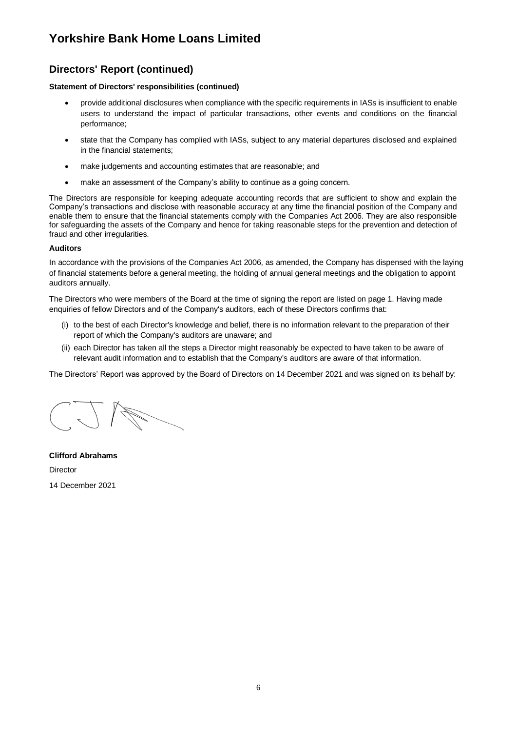# **Directors' Report (continued)**

# **Statement of Directors' responsibilities (continued)**

- provide additional disclosures when compliance with the specific requirements in IASs is insufficient to enable users to understand the impact of particular transactions, other events and conditions on the financial performance;
- state that the Company has complied with IASs, subject to any material departures disclosed and explained in the financial statements;
- make judgements and accounting estimates that are reasonable; and
- make an assessment of the Company's ability to continue as a going concern.

The Directors are responsible for keeping adequate accounting records that are sufficient to show and explain the Company's transactions and disclose with reasonable accuracy at any time the financial position of the Company and enable them to ensure that the financial statements comply with the Companies Act 2006. They are also responsible for safeguarding the assets of the Company and hence for taking reasonable steps for the prevention and detection of fraud and other irregularities.

### **Auditors**

In accordance with the provisions of the Companies Act 2006, as amended, the Company has dispensed with the laying of financial statements before a general meeting, the holding of annual general meetings and the obligation to appoint auditors annually.

The Directors who were members of the Board at the time of signing the report are listed on page 1. Having made enquiries of fellow Directors and of the Company's auditors, each of these Directors confirms that:

- (i) to the best of each Director's knowledge and belief, there is no information relevant to the preparation of their report of which the Company's auditors are unaware; and
- (ii) each Director has taken all the steps a Director might reasonably be expected to have taken to be aware of relevant audit information and to establish that the Company's auditors are aware of that information.

The Directors' Report was approved by the Board of Directors on 14 December 2021 and was signed on its behalf by:

**Clifford Abrahams** Director 14 December 2021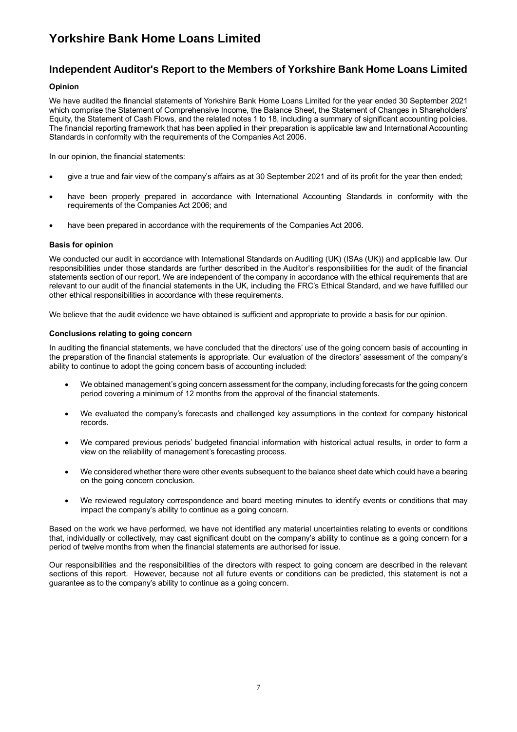# **Independent Auditor's Report to the Members of Yorkshire Bank Home Loans Limited**

# **Opinion**

We have audited the financial statements of Yorkshire Bank Home Loans Limited for the year ended 30 September 2021 which comprise the Statement of Comprehensive Income, the Balance Sheet, the Statement of Changes in Shareholders' Equity, the Statement of Cash Flows, and the related notes 1 to 18, including a summary of significant accounting policies. The financial reporting framework that has been applied in their preparation is applicable law and International Accounting Standards in conformity with the requirements of the Companies Act 2006.

In our opinion, the financial statements:

- give a true and fair view of the company's affairs as at 30 September 2021 and of its profit for the year then ended;
- have been properly prepared in accordance with International Accounting Standards in conformity with the requirements of the Companies Act 2006; and
- have been prepared in accordance with the requirements of the Companies Act 2006.

### **Basis for opinion**

We conducted our audit in accordance with International Standards on Auditing (UK) (ISAs (UK)) and applicable law. Our responsibilities under those standards are further described in the Auditor's responsibilities for the audit of the financial statements section of our report. We are independent of the company in accordance with the ethical requirements that are relevant to our audit of the financial statements in the UK, including the FRC's Ethical Standard, and we have fulfilled our other ethical responsibilities in accordance with these requirements.

We believe that the audit evidence we have obtained is sufficient and appropriate to provide a basis for our opinion.

#### **Conclusions relating to going concern**

In auditing the financial statements, we have concluded that the directors' use of the going concern basis of accounting in the preparation of the financial statements is appropriate. Our evaluation of the directors' assessment of the company's ability to continue to adopt the going concern basis of accounting included:

- We obtained management's going concern assessment for the company, including forecasts for the going concern period covering a minimum of 12 months from the approval of the financial statements.
- We evaluated the company's forecasts and challenged key assumptions in the context for company historical records.
- We compared previous periods' budgeted financial information with historical actual results, in order to form a view on the reliability of management's forecasting process.
- We considered whether there were other events subsequent to the balance sheet date which could have a bearing on the going concern conclusion.
- We reviewed regulatory correspondence and board meeting minutes to identify events or conditions that may impact the company's ability to continue as a going concern.

Based on the work we have performed, we have not identified any material uncertainties relating to events or conditions that, individually or collectively, may cast significant doubt on the company's ability to continue as a going concern for a period of twelve months from when the financial statements are authorised for issue.

Our responsibilities and the responsibilities of the directors with respect to going concern are described in the relevant sections of this report. However, because not all future events or conditions can be predicted, this statement is not a guarantee as to the company's ability to continue as a going concern.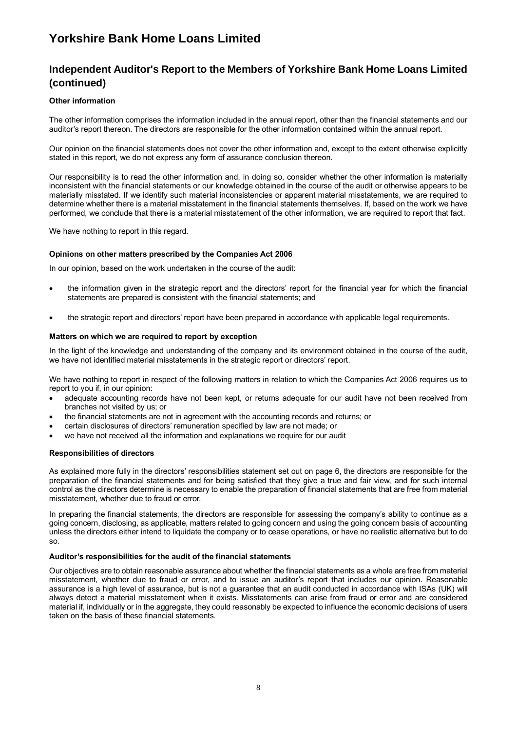# **Independent Auditor's Report to the Members of Yorkshire Bank Home Loans Limited (continued)**

# **Other information**

The other information comprises the information included in the annual report, other than the financial statements and our auditor's report thereon. The directors are responsible for the other information contained within the annual report.

Our opinion on the financial statements does not cover the other information and, except to the extent otherwise explicitly stated in this report, we do not express any form of assurance conclusion thereon.

Our responsibility is to read the other information and, in doing so, consider whether the other information is materially inconsistent with the financial statements or our knowledge obtained in the course of the audit or otherwise appears to be materially misstated. If we identify such material inconsistencies or apparent material misstatements, we are required to determine whether there is a material misstatement in the financial statements themselves. If, based on the work we have performed, we conclude that there is a material misstatement of the other information, we are required to report that fact.

We have nothing to report in this regard.

# **Opinions on other matters prescribed by the Companies Act 2006**

In our opinion, based on the work undertaken in the course of the audit:

- the information given in the strategic report and the directors' report for the financial year for which the financial statements are prepared is consistent with the financial statements; and
- the strategic report and directors' report have been prepared in accordance with applicable legal requirements.

### **Matters on which we are required to report by exception**

In the light of the knowledge and understanding of the company and its environment obtained in the course of the audit, we have not identified material misstatements in the strategic report or directors' report.

We have nothing to report in respect of the following matters in relation to which the Companies Act 2006 requires us to report to you if, in our opinion:

- adequate accounting records have not been kept, or returns adequate for our audit have not been received from branches not visited by us; or
- the financial statements are not in agreement with the accounting records and returns; or
- certain disclosures of directors' remuneration specified by law are not made; or
- we have not received all the information and explanations we require for our audit

#### **Responsibilities of directors**

As explained more fully in the directors' responsibilities statement set out on page 6, the directors are responsible for the preparation of the financial statements and for being satisfied that they give a true and fair view, and for such internal control as the directors determine is necessary to enable the preparation of financial statements that are free from material misstatement, whether due to fraud or error.

In preparing the financial statements, the directors are responsible for assessing the company's ability to continue as a going concern, disclosing, as applicable, matters related to going concern and using the going concern basis of accounting unless the directors either intend to liquidate the company or to cease operations, or have no realistic alternative but to do so.

#### **Auditor's responsibilities for the audit of the financial statements**

Our objectives are to obtain reasonable assurance about whether the financial statements as a whole are free from material misstatement, whether due to fraud or error, and to issue an auditor's report that includes our opinion. Reasonable assurance is a high level of assurance, but is not a guarantee that an audit conducted in accordance with ISAs (UK) will always detect a material misstatement when it exists. Misstatements can arise from fraud or error and are considered material if, individually or in the aggregate, they could reasonably be expected to influence the economic decisions of users taken on the basis of these financial statements.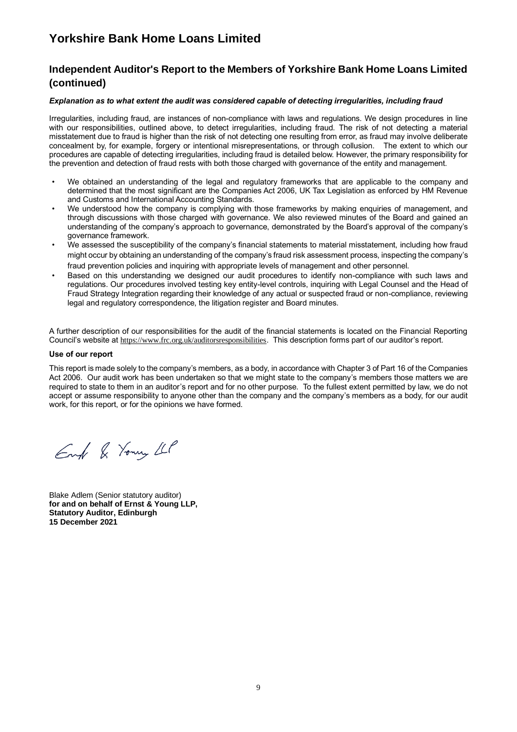# **Independent Auditor's Report to the Members of Yorkshire Bank Home Loans Limited (continued)**

# *Explanation as to what extent the audit was considered capable of detecting irregularities, including fraud*

Irregularities, including fraud, are instances of non-compliance with laws and regulations. We design procedures in line with our responsibilities, outlined above, to detect irregularities, including fraud. The risk of not detecting a material misstatement due to fraud is higher than the risk of not detecting one resulting from error, as fraud may involve deliberate concealment by, for example, forgery or intentional misrepresentations, or through collusion. The extent to which our procedures are capable of detecting irregularities, including fraud is detailed below. However, the primary responsibility for the prevention and detection of fraud rests with both those charged with governance of the entity and management.

- We obtained an understanding of the legal and regulatory frameworks that are applicable to the company and determined that the most significant are the Companies Act 2006, UK Tax Legislation as enforced by HM Revenue and Customs and International Accounting Standards.
- We understood how the company is complying with those frameworks by making enquiries of management, and through discussions with those charged with governance. We also reviewed minutes of the Board and gained an understanding of the company's approach to governance, demonstrated by the Board's approval of the company's governance framework.
- We assessed the susceptibility of the company's financial statements to material misstatement, including how fraud might occur by obtaining an understanding of the company's fraud risk assessment process, inspecting the company's fraud prevention policies and inquiring with appropriate levels of management and other personnel.
- Based on this understanding we designed our audit procedures to identify non-compliance with such laws and regulations. Our procedures involved testing key entity-level controls, inquiring with Legal Counsel and the Head of Fraud Strategy Integration regarding their knowledge of any actual or suspected fraud or non-compliance, reviewing legal and regulatory correspondence, the litigation register and Board minutes.

A further description of our responsibilities for the audit of the financial statements is located on the Financial Reporting Council's website at https://www.frc.org.uk/auditorsresponsibilities. This description forms part of our auditor's report.

### **Use of our report**

This report is made solely to the company's members, as a body, in accordance with Chapter 3 of Part 16 of the Companies Act 2006. Our audit work has been undertaken so that we might state to the company's members those matters we are required to state to them in an auditor's report and for no other purpose. To the fullest extent permitted by law, we do not accept or assume responsibility to anyone other than the company and the company's members as a body, for our audit work, for this report, or for the opinions we have formed.

Engl & Young LLP

Blake Adlem (Senior statutory auditor) **for and on behalf of Ernst & Young LLP, Statutory Auditor, Edinburgh 15 December 2021**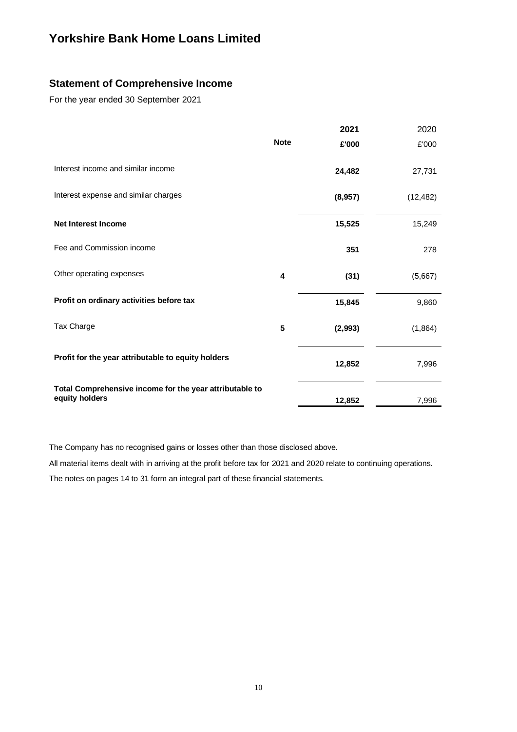# **Statement of Comprehensive Income**

For the year ended 30 September 2021

|                                                                           |             | 2021    | 2020      |
|---------------------------------------------------------------------------|-------------|---------|-----------|
|                                                                           | <b>Note</b> | £'000   | £'000     |
| Interest income and similar income                                        |             | 24,482  | 27,731    |
| Interest expense and similar charges                                      |             | (8,957) | (12, 482) |
| <b>Net Interest Income</b>                                                |             | 15,525  | 15,249    |
| Fee and Commission income                                                 |             | 351     | 278       |
| Other operating expenses                                                  | 4           | (31)    | (5,667)   |
| Profit on ordinary activities before tax                                  |             | 15,845  | 9,860     |
| Tax Charge                                                                | 5           | (2,993) | (1,864)   |
| Profit for the year attributable to equity holders                        |             | 12,852  | 7,996     |
| Total Comprehensive income for the year attributable to<br>equity holders |             | 12,852  | 7,996     |

The Company has no recognised gains or losses other than those disclosed above.

All material items dealt with in arriving at the profit before tax for 2021 and 2020 relate to continuing operations.

The notes on pages 14 to 31 form an integral part of these financial statements.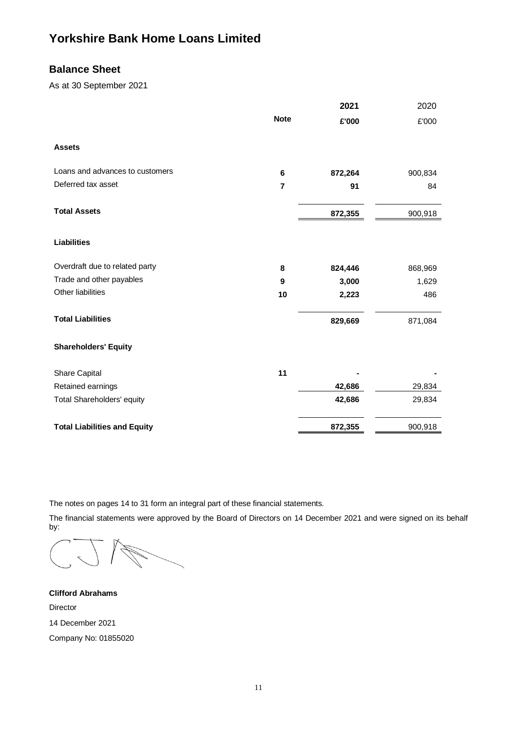# **Balance Sheet**

As at 30 September 2021

|                                     |                         | 2021    | 2020    |
|-------------------------------------|-------------------------|---------|---------|
|                                     | <b>Note</b>             | £'000   | £'000   |
| <b>Assets</b>                       |                         |         |         |
| Loans and advances to customers     | 6                       | 872,264 | 900,834 |
| Deferred tax asset                  | $\overline{\mathbf{r}}$ | 91      | 84      |
| <b>Total Assets</b>                 |                         | 872,355 | 900,918 |
| <b>Liabilities</b>                  |                         |         |         |
| Overdraft due to related party      | 8                       | 824,446 | 868,969 |
| Trade and other payables            | 9                       | 3,000   | 1,629   |
| Other liabilities                   | 10                      | 2,223   | 486     |
| <b>Total Liabilities</b>            |                         | 829,669 | 871,084 |
| <b>Shareholders' Equity</b>         |                         |         |         |
| Share Capital                       | 11                      |         |         |
| Retained earnings                   |                         | 42,686  | 29,834  |
| Total Shareholders' equity          |                         | 42,686  | 29,834  |
| <b>Total Liabilities and Equity</b> |                         | 872,355 | 900,918 |

The notes on pages 14 to 31 form an integral part of these financial statements.

The financial statements were approved by the Board of Directors on 14 December 2021 and were signed on its behalf by:

**Clifford Abrahams** Director 14 December 2021 Company No: 01855020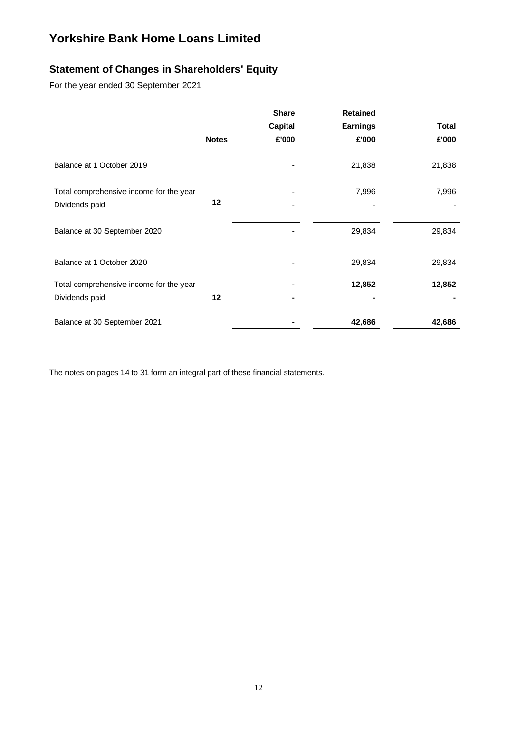# **Statement of Changes in Shareholders' Equity**

For the year ended 30 September 2021

|                                                           | <b>Notes</b> | <b>Share</b><br><b>Capital</b><br>£'000 | <b>Retained</b><br><b>Earnings</b><br>£'000 | <b>Total</b><br>£'000 |
|-----------------------------------------------------------|--------------|-----------------------------------------|---------------------------------------------|-----------------------|
| Balance at 1 October 2019                                 |              |                                         | 21,838                                      | 21,838                |
| Total comprehensive income for the year<br>Dividends paid | 12           |                                         | 7,996                                       | 7,996                 |
| Balance at 30 September 2020                              |              |                                         | 29,834                                      | 29,834                |
| Balance at 1 October 2020                                 |              |                                         | 29,834                                      | 29,834                |
| Total comprehensive income for the year                   |              |                                         | 12,852                                      | 12,852                |
| Dividends paid                                            | 12           |                                         |                                             |                       |
| Balance at 30 September 2021                              |              |                                         | 42,686                                      | 42,686                |

The notes on pages 14 to 31 form an integral part of these financial statements.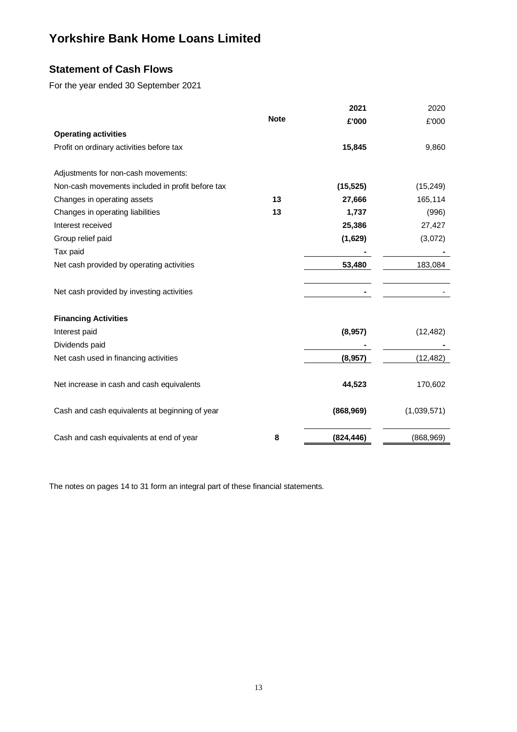# **Statement of Cash Flows**

For the year ended 30 September 2021

|                                                  |             | 2021       | 2020        |
|--------------------------------------------------|-------------|------------|-------------|
|                                                  | <b>Note</b> | £'000      | £'000       |
| <b>Operating activities</b>                      |             |            |             |
| Profit on ordinary activities before tax         |             | 15,845     | 9,860       |
| Adjustments for non-cash movements:              |             |            |             |
| Non-cash movements included in profit before tax |             | (15, 525)  | (15, 249)   |
| Changes in operating assets                      | 13          | 27,666     | 165,114     |
| Changes in operating liabilities                 | 13          | 1,737      | (996)       |
| Interest received                                |             | 25,386     | 27,427      |
| Group relief paid                                |             | (1,629)    | (3,072)     |
| Tax paid                                         |             |            |             |
| Net cash provided by operating activities        |             | 53,480     | 183,084     |
| Net cash provided by investing activities        |             |            |             |
| <b>Financing Activities</b>                      |             |            |             |
| Interest paid                                    |             | (8,957)    | (12, 482)   |
| Dividends paid                                   |             |            |             |
| Net cash used in financing activities            |             | (8,957)    | (12, 482)   |
| Net increase in cash and cash equivalents        |             | 44,523     | 170,602     |
| Cash and cash equivalents at beginning of year   |             | (868, 969) | (1,039,571) |
| Cash and cash equivalents at end of year         | 8           | (824, 446) | (868, 969)  |

The notes on pages 14 to 31 form an integral part of these financial statements.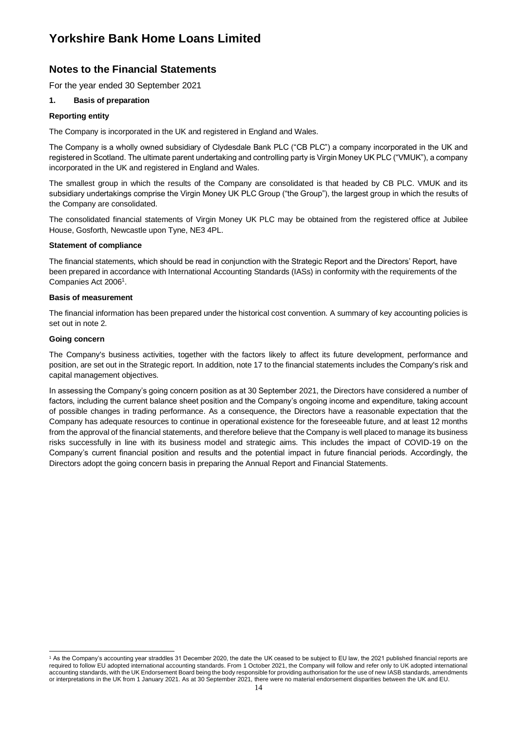# **Notes to the Financial Statements**

For the year ended 30 September 2021

# **1. Basis of preparation**

# **Reporting entity**

The Company is incorporated in the UK and registered in England and Wales.

The Company is a wholly owned subsidiary of Clydesdale Bank PLC ("CB PLC") a company incorporated in the UK and registered in Scotland. The ultimate parent undertaking and controlling party is Virgin Money UK PLC ("VMUK"), a company incorporated in the UK and registered in England and Wales.

The smallest group in which the results of the Company are consolidated is that headed by CB PLC. VMUK and its subsidiary undertakings comprise the Virgin Money UK PLC Group ("the Group"), the largest group in which the results of the Company are consolidated.

The consolidated financial statements of Virgin Money UK PLC may be obtained from the registered office at Jubilee House, Gosforth, Newcastle upon Tyne, NE3 4PL.

# **Statement of compliance**

The financial statements, which should be read in conjunction with the Strategic Report and the Directors' Report, have been prepared in accordance with International Accounting Standards (IASs) in conformity with the requirements of the Companies Act 2006<sup>1</sup>.

### **Basis of measurement**

The financial information has been prepared under the historical cost convention. A summary of key accounting policies is set out in note 2.

# **Going concern**

The Company's business activities, together with the factors likely to affect its future development, performance and position, are set out in the Strategic report. In addition, note 17 to the financial statements includes the Company's risk and capital management objectives.

In assessing the Company's going concern position as at 30 September 2021, the Directors have considered a number of factors, including the current balance sheet position and the Company's ongoing income and expenditure, taking account of possible changes in trading performance. As a consequence, the Directors have a reasonable expectation that the Company has adequate resources to continue in operational existence for the foreseeable future, and at least 12 months from the approval of the financial statements, and therefore believe that the Company is well placed to manage its business risks successfully in line with its business model and strategic aims. This includes the impact of COVID-19 on the Company's current financial position and results and the potential impact in future financial periods. Accordingly, the Directors adopt the going concern basis in preparing the Annual Report and Financial Statements.

<sup>1</sup> As the Company's accounting year straddles 31 December 2020, the date the UK ceased to be subject to EU law, the 2021 published financial reports are required to follow EU adopted international accounting standards. From 1 October 2021, the Company will follow and refer only to UK adopted international accounting standards, with the UK Endorsement Board being the body responsible for providing authorisation for the use of new IASB standards, amendments or interpretations in the UK from 1 January 2021. As at 30 September 2021, there were no material endorsement disparities between the UK and EU.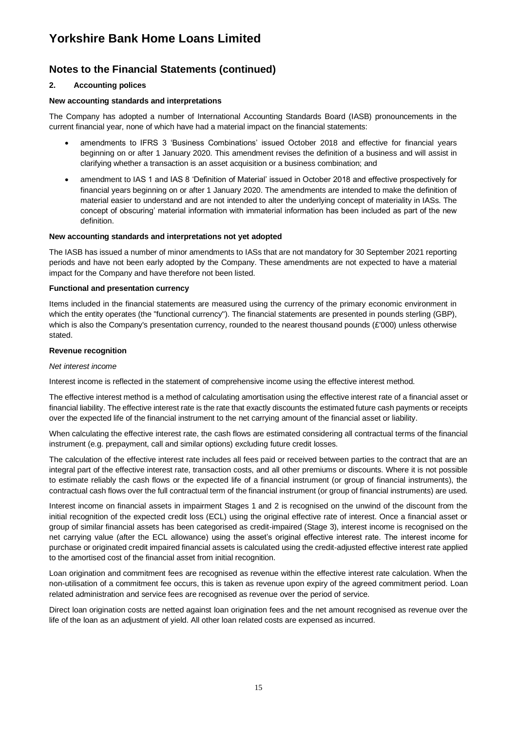# **Notes to the Financial Statements (continued)**

# **2. Accounting polices**

# **New accounting standards and interpretations**

The Company has adopted a number of International Accounting Standards Board (IASB) pronouncements in the current financial year, none of which have had a material impact on the financial statements:

- amendments to IFRS 3 'Business Combinations' issued October 2018 and effective for financial years beginning on or after 1 January 2020. This amendment revises the definition of a business and will assist in clarifying whether a transaction is an asset acquisition or a business combination; and
- amendment to IAS 1 and IAS 8 'Definition of Material' issued in October 2018 and effective prospectively for financial years beginning on or after 1 January 2020. The amendments are intended to make the definition of material easier to understand and are not intended to alter the underlying concept of materiality in IASs. The concept of obscuring' material information with immaterial information has been included as part of the new definition.

# **New accounting standards and interpretations not yet adopted**

The IASB has issued a number of minor amendments to IASs that are not mandatory for 30 September 2021 reporting periods and have not been early adopted by the Company. These amendments are not expected to have a material impact for the Company and have therefore not been listed.

### **Functional and presentation currency**

Items included in the financial statements are measured using the currency of the primary economic environment in which the entity operates (the "functional currency"). The financial statements are presented in pounds sterling (GBP), which is also the Company's presentation currency, rounded to the nearest thousand pounds (£'000) unless otherwise stated.

### **Revenue recognition**

### *Net interest income*

Interest income is reflected in the statement of comprehensive income using the effective interest method.

The effective interest method is a method of calculating amortisation using the effective interest rate of a financial asset or financial liability. The effective interest rate is the rate that exactly discounts the estimated future cash payments or receipts over the expected life of the financial instrument to the net carrying amount of the financial asset or liability.

When calculating the effective interest rate, the cash flows are estimated considering all contractual terms of the financial instrument (e.g. prepayment, call and similar options) excluding future credit losses.

The calculation of the effective interest rate includes all fees paid or received between parties to the contract that are an integral part of the effective interest rate, transaction costs, and all other premiums or discounts. Where it is not possible to estimate reliably the cash flows or the expected life of a financial instrument (or group of financial instruments), the contractual cash flows over the full contractual term of the financial instrument (or group of financial instruments) are used.

Interest income on financial assets in impairment Stages 1 and 2 is recognised on the unwind of the discount from the initial recognition of the expected credit loss (ECL) using the original effective rate of interest. Once a financial asset or group of similar financial assets has been categorised as credit-impaired (Stage 3), interest income is recognised on the net carrying value (after the ECL allowance) using the asset's original effective interest rate. The interest income for purchase or originated credit impaired financial assets is calculated using the credit-adjusted effective interest rate applied to the amortised cost of the financial asset from initial recognition.

Loan origination and commitment fees are recognised as revenue within the effective interest rate calculation. When the non-utilisation of a commitment fee occurs, this is taken as revenue upon expiry of the agreed commitment period. Loan related administration and service fees are recognised as revenue over the period of service.

Direct loan origination costs are netted against loan origination fees and the net amount recognised as revenue over the life of the loan as an adjustment of yield. All other loan related costs are expensed as incurred.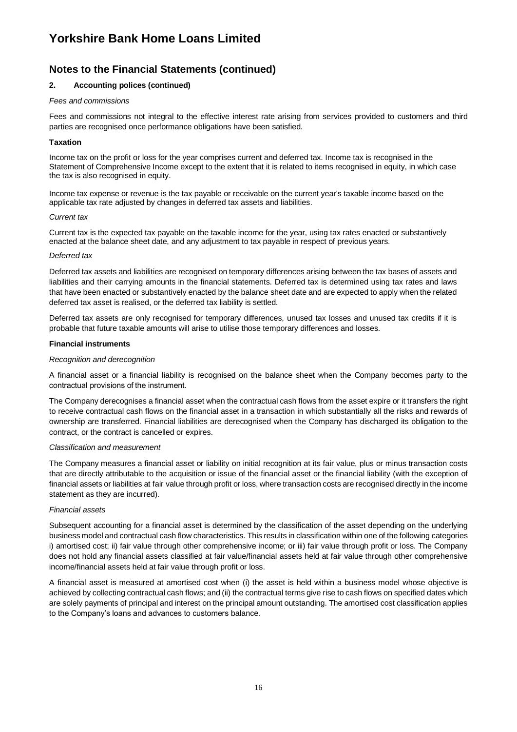# **Notes to the Financial Statements (continued)**

# **2. Accounting polices (continued)**

# *Fees and commissions*

Fees and commissions not integral to the effective interest rate arising from services provided to customers and third parties are recognised once performance obligations have been satisfied.

# **Taxation**

Income tax on the profit or loss for the year comprises current and deferred tax. Income tax is recognised in the Statement of Comprehensive Income except to the extent that it is related to items recognised in equity, in which case the tax is also recognised in equity.

Income tax expense or revenue is the tax payable or receivable on the current year's taxable income based on the applicable tax rate adjusted by changes in deferred tax assets and liabilities.

### *Current tax*

Current tax is the expected tax payable on the taxable income for the year, using tax rates enacted or substantively enacted at the balance sheet date, and any adjustment to tax payable in respect of previous years.

### *Deferred tax*

Deferred tax assets and liabilities are recognised on temporary differences arising between the tax bases of assets and liabilities and their carrying amounts in the financial statements. Deferred tax is determined using tax rates and laws that have been enacted or substantively enacted by the balance sheet date and are expected to apply when the related deferred tax asset is realised, or the deferred tax liability is settled.

Deferred tax assets are only recognised for temporary differences, unused tax losses and unused tax credits if it is probable that future taxable amounts will arise to utilise those temporary differences and losses.

### **Financial instruments**

### *Recognition and derecognition*

A financial asset or a financial liability is recognised on the balance sheet when the Company becomes party to the contractual provisions of the instrument.

The Company derecognises a financial asset when the contractual cash flows from the asset expire or it transfers the right to receive contractual cash flows on the financial asset in a transaction in which substantially all the risks and rewards of ownership are transferred. Financial liabilities are derecognised when the Company has discharged its obligation to the contract, or the contract is cancelled or expires.

#### *Classification and measurement*

The Company measures a financial asset or liability on initial recognition at its fair value, plus or minus transaction costs that are directly attributable to the acquisition or issue of the financial asset or the financial liability (with the exception of financial assets or liabilities at fair value through profit or loss, where transaction costs are recognised directly in the income statement as they are incurred).

# *Financial assets*

Subsequent accounting for a financial asset is determined by the classification of the asset depending on the underlying business model and contractual cash flow characteristics. This results in classification within one of the following categories i) amortised cost; ii) fair value through other comprehensive income; or iii) fair value through profit or loss. The Company does not hold any financial assets classified at fair value/financial assets held at fair value through other comprehensive income/financial assets held at fair value through profit or loss.

A financial asset is measured at amortised cost when (i) the asset is held within a business model whose objective is achieved by collecting contractual cash flows; and (ii) the contractual terms give rise to cash flows on specified dates which are solely payments of principal and interest on the principal amount outstanding. The amortised cost classification applies to the Company's loans and advances to customers balance.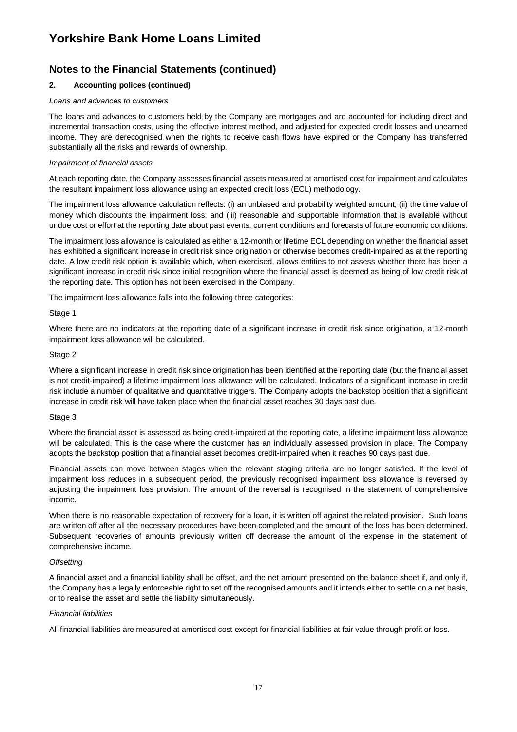# **Notes to the Financial Statements (continued)**

# **2. Accounting polices (continued)**

# *Loans and advances to customers*

The loans and advances to customers held by the Company are mortgages and are accounted for including direct and incremental transaction costs, using the effective interest method, and adjusted for expected credit losses and unearned income. They are derecognised when the rights to receive cash flows have expired or the Company has transferred substantially all the risks and rewards of ownership.

# *Impairment of financial assets*

At each reporting date, the Company assesses financial assets measured at amortised cost for impairment and calculates the resultant impairment loss allowance using an expected credit loss (ECL) methodology.

The impairment loss allowance calculation reflects: (i) an unbiased and probability weighted amount; (ii) the time value of money which discounts the impairment loss; and (iii) reasonable and supportable information that is available without undue cost or effort at the reporting date about past events, current conditions and forecasts of future economic conditions.

The impairment loss allowance is calculated as either a 12-month or lifetime ECL depending on whether the financial asset has exhibited a significant increase in credit risk since origination or otherwise becomes credit-impaired as at the reporting date. A low credit risk option is available which, when exercised, allows entities to not assess whether there has been a significant increase in credit risk since initial recognition where the financial asset is deemed as being of low credit risk at the reporting date. This option has not been exercised in the Company.

The impairment loss allowance falls into the following three categories:

# Stage 1

Where there are no indicators at the reporting date of a significant increase in credit risk since origination, a 12-month impairment loss allowance will be calculated.

# Stage 2

Where a significant increase in credit risk since origination has been identified at the reporting date (but the financial asset is not credit-impaired) a lifetime impairment loss allowance will be calculated. Indicators of a significant increase in credit risk include a number of qualitative and quantitative triggers. The Company adopts the backstop position that a significant increase in credit risk will have taken place when the financial asset reaches 30 days past due.

# Stage 3

Where the financial asset is assessed as being credit-impaired at the reporting date, a lifetime impairment loss allowance will be calculated. This is the case where the customer has an individually assessed provision in place. The Company adopts the backstop position that a financial asset becomes credit-impaired when it reaches 90 days past due.

Financial assets can move between stages when the relevant staging criteria are no longer satisfied. If the level of impairment loss reduces in a subsequent period, the previously recognised impairment loss allowance is reversed by adjusting the impairment loss provision. The amount of the reversal is recognised in the statement of comprehensive income.

When there is no reasonable expectation of recovery for a loan, it is written off against the related provision. Such loans are written off after all the necessary procedures have been completed and the amount of the loss has been determined. Subsequent recoveries of amounts previously written off decrease the amount of the expense in the statement of comprehensive income.

# *Offsetting*

A financial asset and a financial liability shall be offset, and the net amount presented on the balance sheet if, and only if, the Company has a legally enforceable right to set off the recognised amounts and it intends either to settle on a net basis, or to realise the asset and settle the liability simultaneously.

# *Financial liabilities*

All financial liabilities are measured at amortised cost except for financial liabilities at fair value through profit or loss.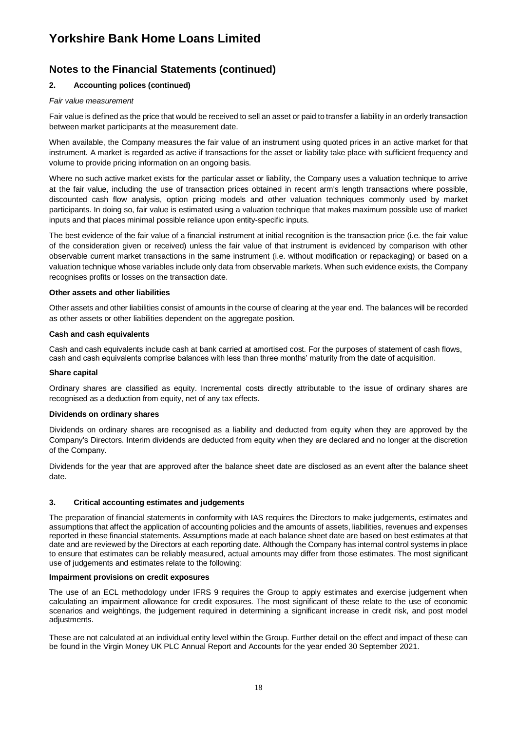# **Notes to the Financial Statements (continued)**

# **2. Accounting polices (continued)**

# *Fair value measurement*

Fair value is defined as the price that would be received to sell an asset or paid to transfer a liability in an orderly transaction between market participants at the measurement date.

When available, the Company measures the fair value of an instrument using quoted prices in an active market for that instrument. A market is regarded as active if transactions for the asset or liability take place with sufficient frequency and volume to provide pricing information on an ongoing basis.

Where no such active market exists for the particular asset or liability, the Company uses a valuation technique to arrive at the fair value, including the use of transaction prices obtained in recent arm's length transactions where possible, discounted cash flow analysis, option pricing models and other valuation techniques commonly used by market participants. In doing so, fair value is estimated using a valuation technique that makes maximum possible use of market inputs and that places minimal possible reliance upon entity-specific inputs.

The best evidence of the fair value of a financial instrument at initial recognition is the transaction price (i.e. the fair value of the consideration given or received) unless the fair value of that instrument is evidenced by comparison with other observable current market transactions in the same instrument (i.e. without modification or repackaging) or based on a valuation technique whose variables include only data from observable markets. When such evidence exists, the Company recognises profits or losses on the transaction date.

# **Other assets and other liabilities**

Other assets and other liabilities consist of amounts in the course of clearing at the year end. The balances will be recorded as other assets or other liabilities dependent on the aggregate position.

# **Cash and cash equivalents**

Cash and cash equivalents include cash at bank carried at amortised cost. For the purposes of statement of cash flows, cash and cash equivalents comprise balances with less than three months' maturity from the date of acquisition.

#### **Share capital**

Ordinary shares are classified as equity. Incremental costs directly attributable to the issue of ordinary shares are recognised as a deduction from equity, net of any tax effects.

# **Dividends on ordinary shares**

Dividends on ordinary shares are recognised as a liability and deducted from equity when they are approved by the Company's Directors. Interim dividends are deducted from equity when they are declared and no longer at the discretion of the Company.

Dividends for the year that are approved after the balance sheet date are disclosed as an event after the balance sheet date.

# **3. Critical accounting estimates and judgements**

The preparation of financial statements in conformity with IAS requires the Directors to make judgements, estimates and assumptions that affect the application of accounting policies and the amounts of assets, liabilities, revenues and expenses reported in these financial statements. Assumptions made at each balance sheet date are based on best estimates at that date and are reviewed by the Directors at each reporting date. Although the Company has internal control systems in place to ensure that estimates can be reliably measured, actual amounts may differ from those estimates. The most significant use of judgements and estimates relate to the following:

#### **Impairment provisions on credit exposures**

The use of an ECL methodology under IFRS 9 requires the Group to apply estimates and exercise judgement when calculating an impairment allowance for credit exposures. The most significant of these relate to the use of economic scenarios and weightings, the judgement required in determining a significant increase in credit risk, and post model adjustments.

These are not calculated at an individual entity level within the Group. Further detail on the effect and impact of these can be found in the Virgin Money UK PLC Annual Report and Accounts for the year ended 30 September 2021.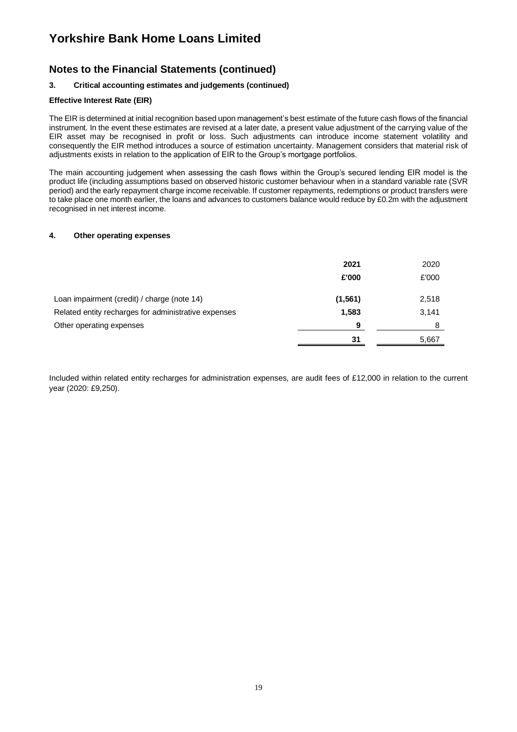# **Notes to the Financial Statements (continued)**

# **3. Critical accounting estimates and judgements (continued)**

# **Effective Interest Rate (EIR)**

The EIR is determined at initial recognition based upon management's best estimate of the future cash flows of the financial instrument. In the event these estimates are revised at a later date, a present value adjustment of the carrying value of the EIR asset may be recognised in profit or loss. Such adjustments can introduce income statement volatility and consequently the EIR method introduces a source of estimation uncertainty. Management considers that material risk of adjustments exists in relation to the application of EIR to the Group's mortgage portfolios.

The main accounting judgement when assessing the cash flows within the Group's secured lending EIR model is the product life (including assumptions based on observed historic customer behaviour when in a standard variable rate (SVR period) and the early repayment charge income receivable. If customer repayments, redemptions or product transfers were to take place one month earlier, the loans and advances to customers balance would reduce by £0.2m with the adjustment recognised in net interest income.

# **4. Other operating expenses**

|                                                      | 2021     | 2020  |
|------------------------------------------------------|----------|-------|
|                                                      | £'000    | £'000 |
| Loan impairment (credit) / charge (note 14)          | (1, 561) | 2,518 |
| Related entity recharges for administrative expenses | 1,583    | 3,141 |
| Other operating expenses                             | 9        | 8     |
|                                                      | 31       | 5,667 |

Included within related entity recharges for administration expenses, are audit fees of £12,000 in relation to the current year (2020: £9,250).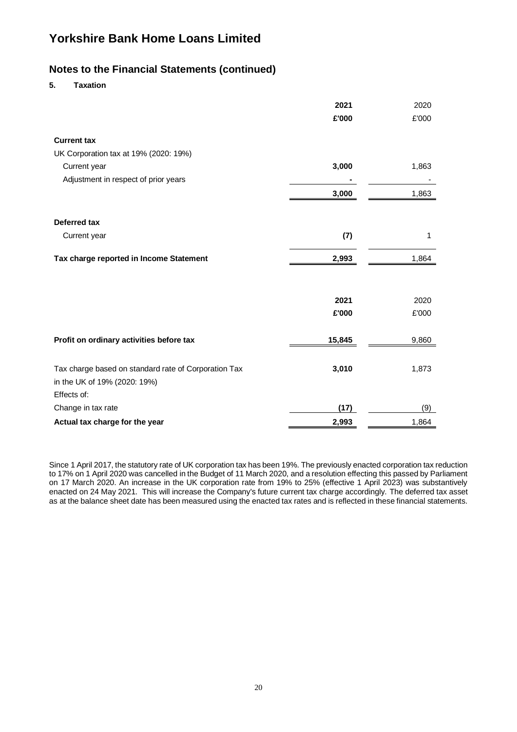# **Notes to the Financial Statements (continued)**

**5. Taxation**

|                                                      | 2021   | 2020         |
|------------------------------------------------------|--------|--------------|
|                                                      | £'000  | £'000        |
| <b>Current tax</b>                                   |        |              |
| UK Corporation tax at 19% (2020: 19%)                |        |              |
| Current year                                         | 3,000  | 1,863        |
| Adjustment in respect of prior years                 |        |              |
|                                                      | 3,000  | 1,863        |
| Deferred tax                                         |        |              |
| Current year                                         | (7)    | $\mathbf{1}$ |
| Tax charge reported in Income Statement              | 2,993  | 1,864        |
|                                                      |        |              |
|                                                      | 2021   | 2020         |
|                                                      | £'000  | £'000        |
| Profit on ordinary activities before tax             | 15,845 | 9,860        |
| Tax charge based on standard rate of Corporation Tax | 3,010  | 1,873        |
| in the UK of 19% (2020: 19%)                         |        |              |
| Effects of:                                          |        |              |
| Change in tax rate                                   | (17)   | (9)          |
| Actual tax charge for the year                       | 2,993  | 1,864        |

Since 1 April 2017, the statutory rate of UK corporation tax has been 19%. The previously enacted corporation tax reduction to 17% on 1 April 2020 was cancelled in the Budget of 11 March 2020, and a resolution effecting this passed by Parliament on 17 March 2020. An increase in the UK corporation rate from 19% to 25% (effective 1 April 2023) was substantively enacted on 24 May 2021. This will increase the Company's future current tax charge accordingly. The deferred tax asset as at the balance sheet date has been measured using the enacted tax rates and is reflected in these financial statements.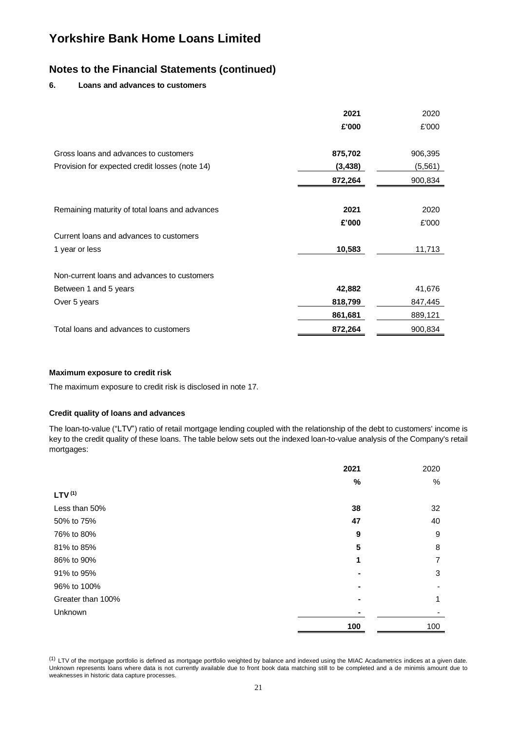# **Notes to the Financial Statements (continued)**

# **6. Loans and advances to customers**

|                                                | 2021     | 2020     |
|------------------------------------------------|----------|----------|
|                                                | £'000    | £'000    |
| Gross loans and advances to customers          | 875,702  | 906,395  |
| Provision for expected credit losses (note 14) | (3, 438) | (5, 561) |
|                                                | 872,264  | 900,834  |
|                                                |          |          |
| Remaining maturity of total loans and advances | 2021     | 2020     |
|                                                | £'000    | £'000    |
| Current loans and advances to customers        |          |          |
| 1 year or less                                 | 10,583   | 11,713   |
| Non-current loans and advances to customers    |          |          |
| Between 1 and 5 years                          | 42,882   | 41,676   |
| Over 5 years                                   | 818,799  | 847,445  |
|                                                | 861,681  | 889,121  |
| Total loans and advances to customers          | 872,264  | 900,834  |

# **Maximum exposure to credit risk**

The maximum exposure to credit risk is disclosed in note 17.

### **Credit quality of loans and advances**

The loan-to-value ("LTV") ratio of retail mortgage lending coupled with the relationship of the debt to customers' income is key to the credit quality of these loans. The table below sets out the indexed loan-to-value analysis of the Company's retail mortgages:

|                    | 2021 | 2020 |
|--------------------|------|------|
|                    | $\%$ | %    |
| LTV <sup>(1)</sup> |      |      |
| Less than 50%      | 38   | 32   |
| 50% to 75%         | 47   | 40   |
| 76% to 80%         | 9    | 9    |
| 81% to 85%         | 5    | 8    |
| 86% to 90%         | 1    | 7    |
| 91% to 95%         |      | 3    |
| 96% to 100%        |      |      |
| Greater than 100%  |      |      |
| Unknown            |      |      |
|                    | 100  | 100  |

<sup>(1)</sup> LTV of the mortgage portfolio is defined as mortgage portfolio weighted by balance and indexed using the MIAC Acadametrics indices at a given date. Unknown represents loans where data is not currently available due to front book data matching still to be completed and a de minimis amount due to weaknesses in historic data capture processes.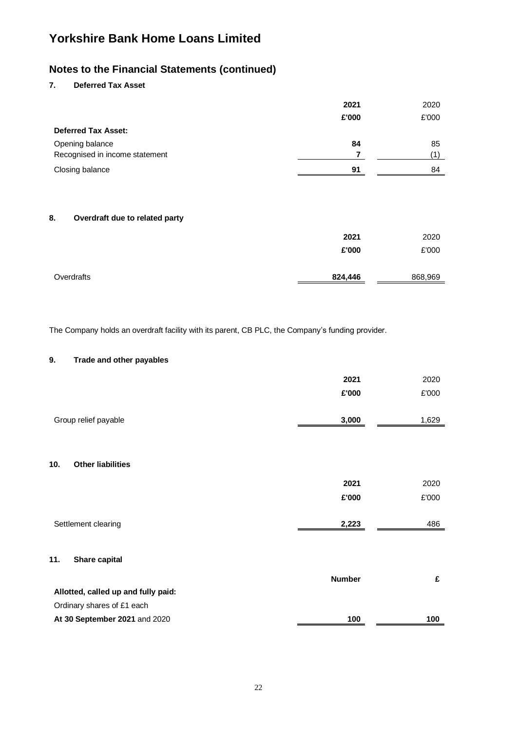# **Notes to the Financial Statements (continued)**

**7. Deferred Tax Asset**

|                                | 2021  | 2020  |
|--------------------------------|-------|-------|
|                                | £'000 | £'000 |
| <b>Deferred Tax Asset:</b>     |       |       |
| Opening balance                | 84    | 85    |
| Recognised in income statement |       |       |
| Closing balance                | 91    | 84    |

# **8. Overdraft due to related party**

|            | 2021    | 2020    |
|------------|---------|---------|
|            | £'000   | £'000   |
| Overdrafts | 824,446 | 868,969 |

The Company holds an overdraft facility with its parent, CB PLC, the Company's funding provider.

# **9. Trade and other payables**

|                                     | 2021          | 2020  |
|-------------------------------------|---------------|-------|
|                                     | £'000         | £'000 |
| Group relief payable                | 3,000         | 1,629 |
|                                     |               |       |
| 10.<br><b>Other liabilities</b>     |               |       |
|                                     | 2021          | 2020  |
|                                     | £'000         | £'000 |
| Settlement clearing                 | 2,223         | 486   |
| 11.<br>Share capital                |               |       |
|                                     | <b>Number</b> | £     |
| Allotted, called up and fully paid: |               |       |
| Ordinary shares of £1 each          |               |       |
| At 30 September 2021 and 2020       | 100           | 100   |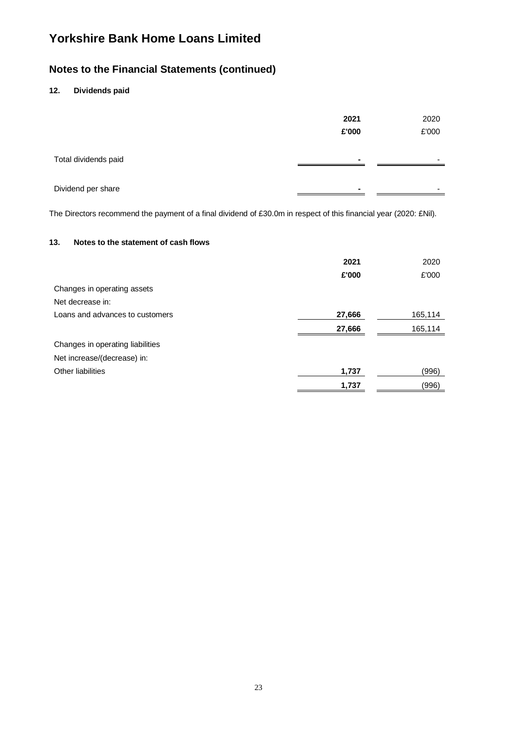# **Notes to the Financial Statements (continued)**

# **12. Dividends paid**

|                      | 2021                     | 2020                     |
|----------------------|--------------------------|--------------------------|
|                      | £'000                    | £'000                    |
| Total dividends paid | $\overline{\phantom{a}}$ | $\overline{\phantom{0}}$ |
| Dividend per share   | $\overline{\phantom{a}}$ | $\overline{\phantom{0}}$ |

The Directors recommend the payment of a final dividend of £30.0m in respect of this financial year (2020: £Nil).

# **13. Notes to the statement of cash flows**

|                                  | 2021   | 2020    |
|----------------------------------|--------|---------|
|                                  | £'000  | £'000   |
| Changes in operating assets      |        |         |
| Net decrease in:                 |        |         |
| Loans and advances to customers  | 27,666 | 165,114 |
|                                  | 27,666 | 165,114 |
| Changes in operating liabilities |        |         |
| Net increase/(decrease) in:      |        |         |
| Other liabilities                | 1,737  | (996)   |
|                                  | 1,737  | (996)   |
|                                  |        |         |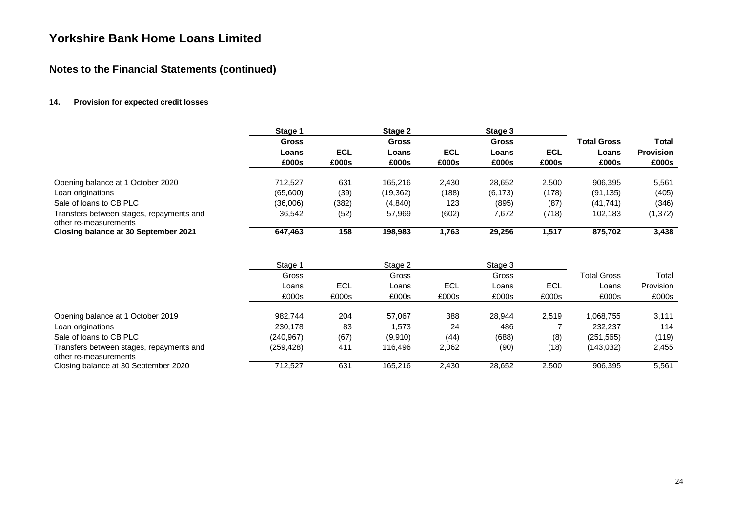# **Notes to the Financial Statements (continued)**

# **14. Provision for expected credit losses**

|                                                                   | Stage 1      |            | Stage 2      |            | Stage 3      |            |                    |                  |
|-------------------------------------------------------------------|--------------|------------|--------------|------------|--------------|------------|--------------------|------------------|
|                                                                   | <b>Gross</b> |            | <b>Gross</b> |            | <b>Gross</b> |            | <b>Total Gross</b> | <b>Total</b>     |
|                                                                   | Loans        | <b>ECL</b> | Loans        | <b>ECL</b> | Loans        | <b>ECL</b> | Loans              | <b>Provision</b> |
|                                                                   | £000s        | £000s      | £000s        | £000s      | £000s        | £000s      | £000s              | £000s            |
|                                                                   |              |            |              |            |              |            |                    |                  |
| Opening balance at 1 October 2020                                 | 712.527      | 631        | 165.216      | 2,430      | 28.652       | 2,500      | 906,395            | 5,561            |
| Loan originations                                                 | (65,600)     | (39)       | (19,362)     | (188)      | (6, 173)     | (178)      | (91, 135)          | (405)            |
| Sale of loans to CB PLC                                           | (36,006)     | (382)      | (4,840)      | 123        | (895)        | (87)       | (41,741)           | (346)            |
| Transfers between stages, repayments and<br>other re-measurements | 36.542       | (52)       | 57,969       | (602)      | 7,672        | (718)      | 102,183            | (1, 372)         |
| Closing balance at 30 September 2021                              | 647.463      | 158        | 198,983      | .763       | 29.256       | 1,517      | 875.702            | 3,438            |

|                                                                   | Stage 1   |       | Stage 2 |       | Stage 3 |       |             |           |
|-------------------------------------------------------------------|-----------|-------|---------|-------|---------|-------|-------------|-----------|
|                                                                   | Gross     |       | Gross   |       | Gross   |       | Total Gross | Total     |
|                                                                   | Loans     | ECL   | Loans   | ECL   | Loans   | ECL   | Loans       | Provision |
|                                                                   | £000s     | £000s | £000s   | £000s | £000s   | £000s | £000s       | £000s     |
|                                                                   |           |       |         |       |         |       |             |           |
| Opening balance at 1 October 2019                                 | 982.744   | 204   | 57.067  | 388   | 28.944  | 2,519 | 1,068,755   | 3,111     |
| Loan originations                                                 | 230.178   | 83    | 1,573   | 24    | 486     |       | 232.237     | 114       |
| Sale of loans to CB PLC                                           | (240,967) | (67)  | (9,910) | (44)  | (688)   | (8)   | (251, 565)  | (119)     |
| Transfers between stages, repayments and<br>other re-measurements | (259,428) | 411   | 116.496 | 2,062 | (90)    | (18)  | (143.032)   | 2,455     |
| Closing balance at 30 September 2020                              | 712.527   | 631   | 165.216 | 2,430 | 28.652  | 2,500 | 906.395     | 5,561     |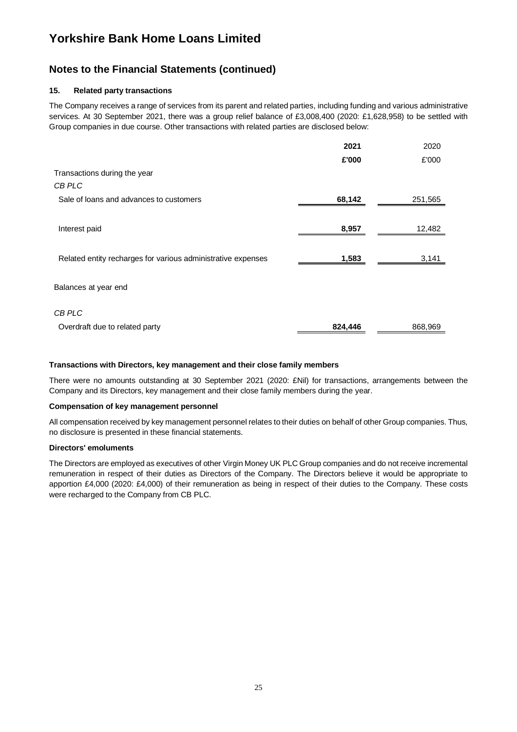# **Notes to the Financial Statements (continued)**

# **15. Related party transactions**

The Company receives a range of services from its parent and related parties, including funding and various administrative services. At 30 September 2021, there was a group relief balance of £3,008,400 (2020: £1,628,958) to be settled with Group companies in due course. Other transactions with related parties are disclosed below:

|                                                              | 2021    | 2020    |
|--------------------------------------------------------------|---------|---------|
|                                                              | £'000   | £'000   |
| Transactions during the year                                 |         |         |
| CB PLC                                                       |         |         |
| Sale of loans and advances to customers                      | 68,142  | 251,565 |
| Interest paid                                                | 8,957   | 12,482  |
| Related entity recharges for various administrative expenses | 1,583   | 3,141   |
| Balances at year end                                         |         |         |
| CB PLC                                                       |         |         |
| Overdraft due to related party                               | 824,446 | 868,969 |

# **Transactions with Directors, key management and their close family members**

There were no amounts outstanding at 30 September 2021 (2020: £Nil) for transactions, arrangements between the Company and its Directors, key management and their close family members during the year.

# **Compensation of key management personnel**

All compensation received by key management personnel relates to their duties on behalf of other Group companies. Thus, no disclosure is presented in these financial statements.

# **Directors' emoluments**

The Directors are employed as executives of other Virgin Money UK PLC Group companies and do not receive incremental remuneration in respect of their duties as Directors of the Company. The Directors believe it would be appropriate to apportion £4,000 (2020: £4,000) of their remuneration as being in respect of their duties to the Company. These costs were recharged to the Company from CB PLC.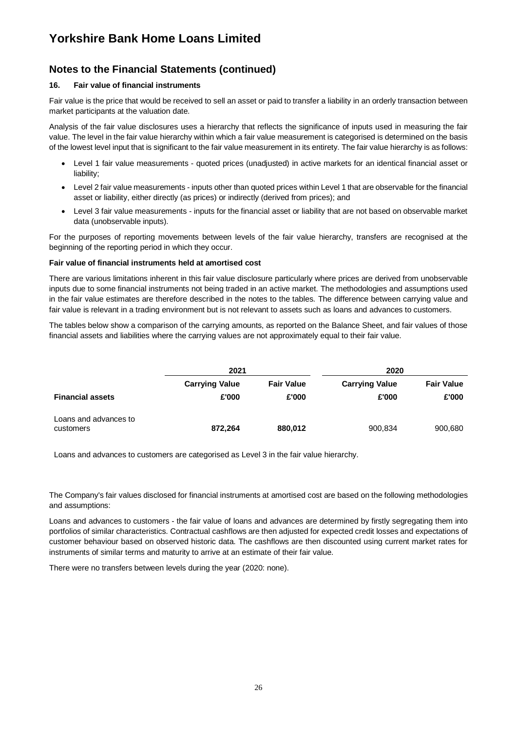# **Notes to the Financial Statements (continued)**

# **16. Fair value of financial instruments**

Fair value is the price that would be received to sell an asset or paid to transfer a liability in an orderly transaction between market participants at the valuation date.

Analysis of the fair value disclosures uses a hierarchy that reflects the significance of inputs used in measuring the fair value. The level in the fair value hierarchy within which a fair value measurement is categorised is determined on the basis of the lowest level input that is significant to the fair value measurement in its entirety. The fair value hierarchy is as follows:

- Level 1 fair value measurements quoted prices (unadjusted) in active markets for an identical financial asset or liability;
- Level 2 fair value measurements inputs other than quoted prices within Level 1 that are observable for the financial asset or liability, either directly (as prices) or indirectly (derived from prices); and
- Level 3 fair value measurements inputs for the financial asset or liability that are not based on observable market data (unobservable inputs).

For the purposes of reporting movements between levels of the fair value hierarchy, transfers are recognised at the beginning of the reporting period in which they occur.

### **Fair value of financial instruments held at amortised cost**

There are various limitations inherent in this fair value disclosure particularly where prices are derived from unobservable inputs due to some financial instruments not being traded in an active market. The methodologies and assumptions used in the fair value estimates are therefore described in the notes to the tables. The difference between carrying value and fair value is relevant in a trading environment but is not relevant to assets such as loans and advances to customers.

The tables below show a comparison of the carrying amounts, as reported on the Balance Sheet, and fair values of those financial assets and liabilities where the carrying values are not approximately equal to their fair value.

|                                    | 2021                           |                            | 2020                           |                            |  |
|------------------------------------|--------------------------------|----------------------------|--------------------------------|----------------------------|--|
| <b>Financial assets</b>            | <b>Carrying Value</b><br>£'000 | <b>Fair Value</b><br>£'000 | <b>Carrying Value</b><br>£'000 | <b>Fair Value</b><br>£'000 |  |
| Loans and advances to<br>customers | 872.264                        | 880,012                    | 900,834                        | 900,680                    |  |

Loans and advances to customers are categorised as Level 3 in the fair value hierarchy.

The Company's fair values disclosed for financial instruments at amortised cost are based on the following methodologies and assumptions:

Loans and advances to customers - the fair value of loans and advances are determined by firstly segregating them into portfolios of similar characteristics. Contractual cashflows are then adjusted for expected credit losses and expectations of customer behaviour based on observed historic data. The cashflows are then discounted using current market rates for instruments of similar terms and maturity to arrive at an estimate of their fair value.

There were no transfers between levels during the year (2020: none).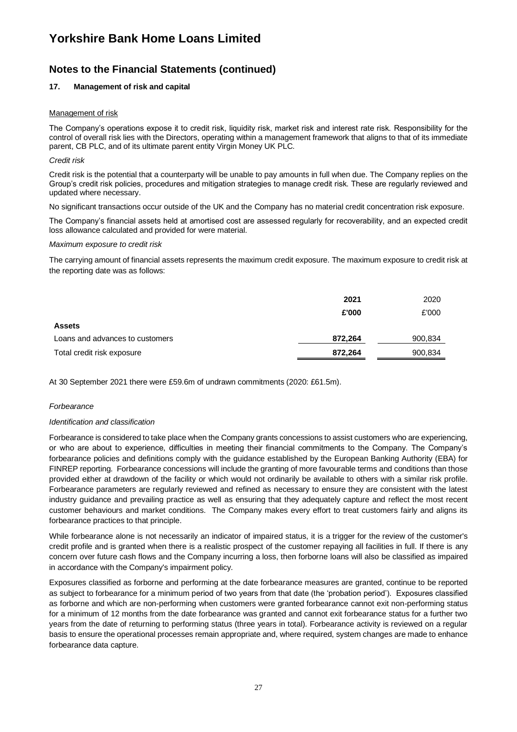# **Notes to the Financial Statements (continued)**

# **17. Management of risk and capital**

# Management of risk

The Company's operations expose it to credit risk, liquidity risk, market risk and interest rate risk. Responsibility for the control of overall risk lies with the Directors, operating within a management framework that aligns to that of its immediate parent, CB PLC, and of its ultimate parent entity Virgin Money UK PLC.

### *Credit risk*

Credit risk is the potential that a counterparty will be unable to pay amounts in full when due. The Company replies on the Group's credit risk policies, procedures and mitigation strategies to manage credit risk. These are regularly reviewed and updated where necessary.

No significant transactions occur outside of the UK and the Company has no material credit concentration risk exposure.

The Company's financial assets held at amortised cost are assessed regularly for recoverability, and an expected credit loss allowance calculated and provided for were material.

#### *Maximum exposure to credit risk*

The carrying amount of financial assets represents the maximum credit exposure. The maximum exposure to credit risk at the reporting date was as follows:

|                                 | 2021    | 2020    |
|---------------------------------|---------|---------|
|                                 | £'000   | £'000   |
| <b>Assets</b>                   |         |         |
| Loans and advances to customers | 872,264 | 900,834 |
| Total credit risk exposure      | 872,264 | 900,834 |

At 30 September 2021 there were £59.6m of undrawn commitments (2020: £61.5m).

# *Forbearance*

#### *Identification and classification*

Forbearance is considered to take place when the Company grants concessions to assist customers who are experiencing, or who are about to experience, difficulties in meeting their financial commitments to the Company. The Company's forbearance policies and definitions comply with the guidance established by the European Banking Authority (EBA) for FINREP reporting. Forbearance concessions will include the granting of more favourable terms and conditions than those provided either at drawdown of the facility or which would not ordinarily be available to others with a similar risk profile. Forbearance parameters are regularly reviewed and refined as necessary to ensure they are consistent with the latest industry guidance and prevailing practice as well as ensuring that they adequately capture and reflect the most recent customer behaviours and market conditions. The Company makes every effort to treat customers fairly and aligns its forbearance practices to that principle.

While forbearance alone is not necessarily an indicator of impaired status, it is a trigger for the review of the customer's credit profile and is granted when there is a realistic prospect of the customer repaying all facilities in full. If there is any concern over future cash flows and the Company incurring a loss, then forborne loans will also be classified as impaired in accordance with the Company's impairment policy.

Exposures classified as forborne and performing at the date forbearance measures are granted, continue to be reported as subject to forbearance for a minimum period of two years from that date (the 'probation period'). Exposures classified as forborne and which are non-performing when customers were granted forbearance cannot exit non-performing status for a minimum of 12 months from the date forbearance was granted and cannot exit forbearance status for a further two years from the date of returning to performing status (three years in total). Forbearance activity is reviewed on a regular basis to ensure the operational processes remain appropriate and, where required, system changes are made to enhance forbearance data capture.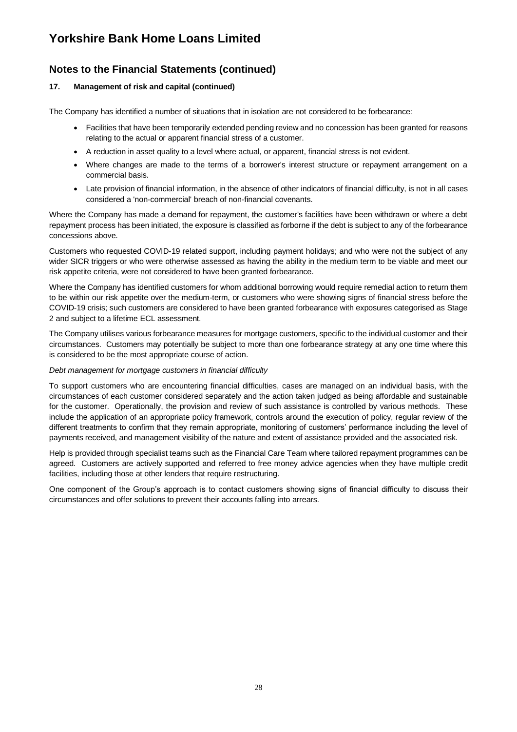# **Notes to the Financial Statements (continued)**

# **17. Management of risk and capital (continued)**

The Company has identified a number of situations that in isolation are not considered to be forbearance:

- Facilities that have been temporarily extended pending review and no concession has been granted for reasons relating to the actual or apparent financial stress of a customer.
- A reduction in asset quality to a level where actual, or apparent, financial stress is not evident.
- Where changes are made to the terms of a borrower's interest structure or repayment arrangement on a commercial basis.
- Late provision of financial information, in the absence of other indicators of financial difficulty, is not in all cases considered a 'non-commercial' breach of non-financial covenants.

Where the Company has made a demand for repayment, the customer's facilities have been withdrawn or where a debt repayment process has been initiated, the exposure is classified as forborne if the debt is subject to any of the forbearance concessions above.

Customers who requested COVID-19 related support, including payment holidays; and who were not the subject of any wider SICR triggers or who were otherwise assessed as having the ability in the medium term to be viable and meet our risk appetite criteria, were not considered to have been granted forbearance.

Where the Company has identified customers for whom additional borrowing would require remedial action to return them to be within our risk appetite over the medium-term, or customers who were showing signs of financial stress before the COVID-19 crisis; such customers are considered to have been granted forbearance with exposures categorised as Stage 2 and subject to a lifetime ECL assessment.

The Company utilises various forbearance measures for mortgage customers, specific to the individual customer and their circumstances. Customers may potentially be subject to more than one forbearance strategy at any one time where this is considered to be the most appropriate course of action.

### *Debt management for mortgage customers in financial difficulty*

To support customers who are encountering financial difficulties, cases are managed on an individual basis, with the circumstances of each customer considered separately and the action taken judged as being affordable and sustainable for the customer. Operationally, the provision and review of such assistance is controlled by various methods. These include the application of an appropriate policy framework, controls around the execution of policy, regular review of the different treatments to confirm that they remain appropriate, monitoring of customers' performance including the level of payments received, and management visibility of the nature and extent of assistance provided and the associated risk.

Help is provided through specialist teams such as the Financial Care Team where tailored repayment programmes can be agreed. Customers are actively supported and referred to free money advice agencies when they have multiple credit facilities, including those at other lenders that require restructuring.

One component of the Group's approach is to contact customers showing signs of financial difficulty to discuss their circumstances and offer solutions to prevent their accounts falling into arrears.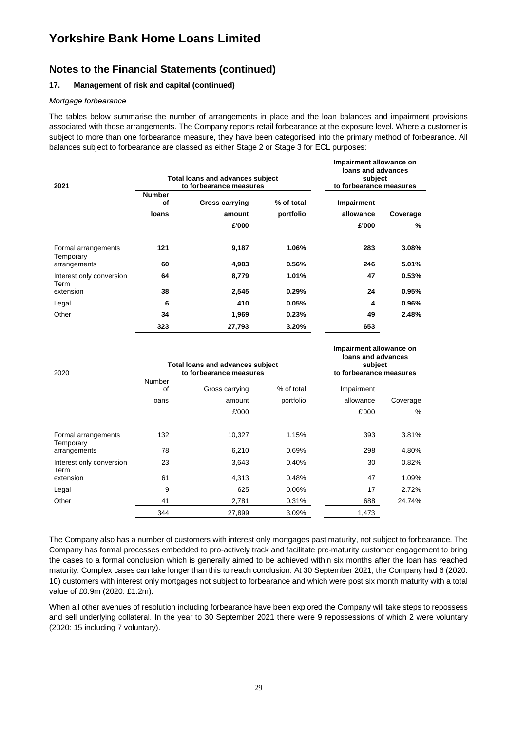# **Notes to the Financial Statements (continued)**

# **17. Management of risk and capital (continued)**

# *Mortgage forbearance*

The tables below summarise the number of arrangements in place and the loan balances and impairment provisions associated with those arrangements. The Company reports retail forbearance at the exposure level. Where a customer is subject to more than one forbearance measure, they have been categorised into the primary method of forbearance. All balances subject to forbearance are classed as either Stage 2 or Stage 3 for ECL purposes:

| 2021                             |                     | Total loans and advances subject<br>to forbearance measures | Impairment allowance on<br>loans and advances<br>subject<br>to forbearance measures |            |          |  |
|----------------------------------|---------------------|-------------------------------------------------------------|-------------------------------------------------------------------------------------|------------|----------|--|
|                                  | <b>Number</b><br>of | <b>Gross carrying</b>                                       | % of total                                                                          | Impairment |          |  |
|                                  | loans               | amount                                                      | portfolio                                                                           | allowance  | Coverage |  |
|                                  |                     | £'000                                                       |                                                                                     | £'000      | %        |  |
| Formal arrangements<br>Temporary | 121                 | 9,187                                                       | 1.06%                                                                               | 283        | 3.08%    |  |
| arrangements                     | 60                  | 4,903                                                       | 0.56%                                                                               | 246        | 5.01%    |  |
| Interest only conversion<br>Term | 64                  | 8,779                                                       | 1.01%                                                                               | 47         | 0.53%    |  |
| extension                        | 38                  | 2,545                                                       | 0.29%                                                                               | 24         | 0.95%    |  |
| Legal                            | 6                   | 410                                                         | 0.05%                                                                               | 4          | 0.96%    |  |
| Other                            | 34                  | 1,969                                                       | 0.23%                                                                               | 49         | 2.48%    |  |
|                                  | 323                 | 27.793                                                      | 3.20%                                                                               | 653        |          |  |

| 2020                             |              | Total loans and advances subject<br>to forbearance measures | loans and advances<br>subject<br>to forbearance measures |            |          |
|----------------------------------|--------------|-------------------------------------------------------------|----------------------------------------------------------|------------|----------|
|                                  | Number<br>οf | Gross carrying                                              | % of total                                               | Impairment |          |
|                                  |              |                                                             |                                                          |            |          |
|                                  | loans        | amount                                                      | portfolio                                                | allowance  | Coverage |
|                                  |              | £'000                                                       |                                                          | £'000      | %        |
| Formal arrangements<br>Temporary | 132          | 10,327                                                      | 1.15%                                                    | 393        | 3.81%    |
| arrangements                     | 78           | 6,210                                                       | 0.69%                                                    | 298        | 4.80%    |
| Interest only conversion<br>Term | 23           | 3,643                                                       | 0.40%                                                    | 30         | 0.82%    |
| extension                        | 61           | 4,313                                                       | 0.48%                                                    | 47         | 1.09%    |
| Legal                            | 9            | 625                                                         | 0.06%                                                    | 17         | 2.72%    |
| Other                            | 41           | 2,781                                                       | 0.31%                                                    | 688        | 24.74%   |
|                                  | 344          | 27.899                                                      | 3.09%                                                    | 1,473      |          |

**Impairment allowance on**

The Company also has a number of customers with interest only mortgages past maturity, not subject to forbearance. The Company has formal processes embedded to pro-actively track and facilitate pre-maturity customer engagement to bring the cases to a formal conclusion which is generally aimed to be achieved within six months after the loan has reached maturity. Complex cases can take longer than this to reach conclusion. At 30 September 2021, the Company had 6 (2020: 10) customers with interest only mortgages not subject to forbearance and which were post six month maturity with a total value of £0.9m (2020: £1.2m).

When all other avenues of resolution including forbearance have been explored the Company will take steps to repossess and sell underlying collateral. In the year to 30 September 2021 there were 9 repossessions of which 2 were voluntary (2020: 15 including 7 voluntary).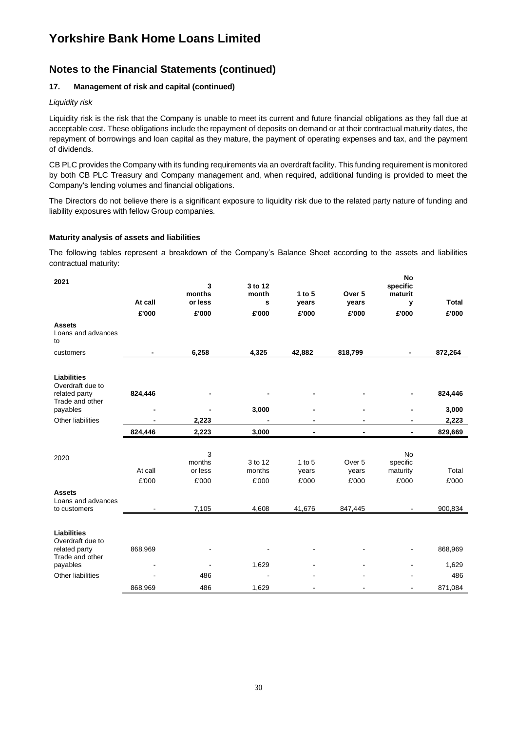# **Notes to the Financial Statements (continued)**

# **17. Management of risk and capital (continued)**

# *Liquidity risk*

Liquidity risk is the risk that the Company is unable to meet its current and future financial obligations as they fall due at acceptable cost. These obligations include the repayment of deposits on demand or at their contractual maturity dates, the repayment of borrowings and loan capital as they mature, the payment of operating expenses and tax, and the payment of dividends.

CB PLC provides the Company with its funding requirements via an overdraft facility. This funding requirement is monitored by both CB PLC Treasury and Company management and, when required, additional funding is provided to meet the Company's lending volumes and financial obligations.

The Directors do not believe there is a significant exposure to liquidity risk due to the related party nature of funding and liability exposures with fellow Group companies.

# **Maturity analysis of assets and liabilities**

The following tables represent a breakdown of the Company's Balance Sheet according to the assets and liabilities contractual maturity:

| 2021                                                                       | At call<br>£'000 | 3<br>months<br>or less<br>£'000 | 3 to 12<br>month<br>s<br>£'000 | $1$ to $5$<br>years<br>£'000 | Over 5<br>years<br>£'000            | <b>No</b><br>specific<br>maturit<br>y<br>£'000 | <b>Total</b><br>£'000 |
|----------------------------------------------------------------------------|------------------|---------------------------------|--------------------------------|------------------------------|-------------------------------------|------------------------------------------------|-----------------------|
| <b>Assets</b><br>Loans and advances<br>to                                  |                  |                                 |                                |                              |                                     |                                                |                       |
| customers                                                                  |                  | 6,258                           | 4,325                          | 42,882                       | 818,799                             |                                                | 872,264               |
| <b>Liabilities</b><br>Overdraft due to<br>related party<br>Trade and other | 824,446          |                                 |                                |                              |                                     |                                                | 824,446               |
| payables<br>Other liabilities                                              |                  | 2,223                           | 3,000                          |                              |                                     |                                                | 3,000<br>2,223        |
|                                                                            | 824,446          | 2,223                           | 3,000                          |                              |                                     |                                                | 829,669               |
| 2020                                                                       | At call<br>£'000 | 3<br>months<br>or less<br>£'000 | 3 to 12<br>months<br>£'000     | $1$ to $5$<br>years<br>£'000 | Over <sub>5</sub><br>years<br>£'000 | <b>No</b><br>specific<br>maturity<br>£'000     | Total<br>£'000        |
| <b>Assets</b><br>Loans and advances<br>to customers                        |                  | 7,105                           | 4,608                          | 41,676                       | 847,445                             |                                                | 900,834               |
| <b>Liabilities</b><br>Overdraft due to<br>related party<br>Trade and other | 868,969          |                                 |                                |                              |                                     |                                                | 868,969               |
| payables                                                                   |                  |                                 | 1,629                          |                              |                                     |                                                | 1,629                 |
| Other liabilities                                                          |                  | 486                             |                                |                              |                                     |                                                | 486                   |
|                                                                            | 868,969          | 486                             | 1,629                          | $\blacksquare$               |                                     |                                                | 871,084               |